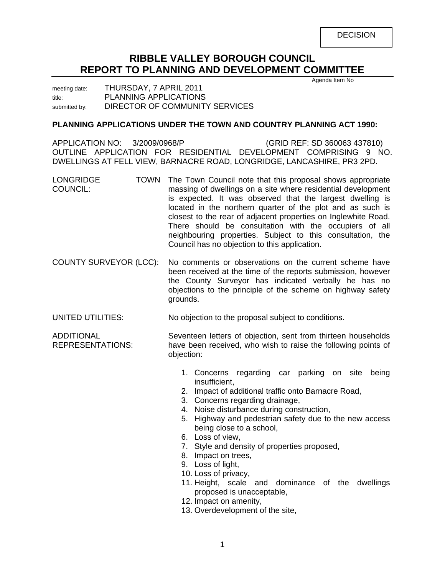**DECISION** 

# **RIBBLE VALLEY BOROUGH COUNCIL REPORT TO PLANNING AND DEVELOPMENT COMMITTEE**

Agenda Item No

meeting date: THURSDAY, 7 APRIL 2011 title: PLANNING APPLICATIONS submitted by: DIRECTOR OF COMMUNITY SERVICES

## **PLANNING APPLICATIONS UNDER THE TOWN AND COUNTRY PLANNING ACT 1990:**

APPLICATION NO: 3/2009/0968/P (GRID REF: SD 360063 437810) OUTLINE APPLICATION FOR RESIDENTIAL DEVELOPMENT COMPRISING 9 NO. DWELLINGS AT FELL VIEW, BARNACRE ROAD, LONGRIDGE, LANCASHIRE, PR3 2PD.

- LONGRIDGE COUNCIL: TOWN The Town Council note that this proposal shows appropriate massing of dwellings on a site where residential development is expected. It was observed that the largest dwelling is located in the northern quarter of the plot and as such is closest to the rear of adjacent properties on Inglewhite Road. There should be consultation with the occupiers of all neighbouring properties. Subject to this consultation, the Council has no objection to this application.
- COUNTY SURVEYOR (LCC): No comments or observations on the current scheme have been received at the time of the reports submission, however the County Surveyor has indicated verbally he has no objections to the principle of the scheme on highway safety grounds.
- UNITED UTILITIES: No objection to the proposal subject to conditions.

ADDITIONAL REPRESENTATIONS: Seventeen letters of objection, sent from thirteen households have been received, who wish to raise the following points of objection:

- 1. Concerns regarding car parking on site being insufficient,
- 2. Impact of additional traffic onto Barnacre Road,
- 3. Concerns regarding drainage,
- 4. Noise disturbance during construction,
- 5. Highway and pedestrian safety due to the new access being close to a school,
- 6. Loss of view,
- 7. Style and density of properties proposed,
- 8. Impact on trees,
- 9. Loss of light,
- 10. Loss of privacy,
- 11. Height, scale and dominance of the dwellings proposed is unacceptable,
- 12. Impact on amenity,
- 13. Overdevelopment of the site,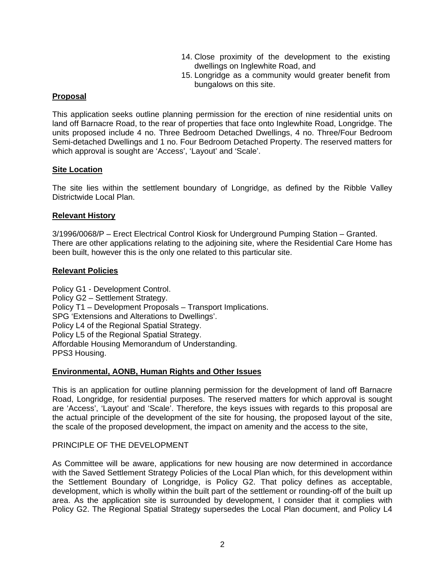- 14. Close proximity of the development to the existing dwellings on Inglewhite Road, and
- 15. Longridge as a community would greater benefit from bungalows on this site.

## **Proposal**

This application seeks outline planning permission for the erection of nine residential units on land off Barnacre Road, to the rear of properties that face onto Inglewhite Road, Longridge. The units proposed include 4 no. Three Bedroom Detached Dwellings, 4 no. Three/Four Bedroom Semi-detached Dwellings and 1 no. Four Bedroom Detached Property. The reserved matters for which approval is sought are 'Access', 'Layout' and 'Scale'.

## **Site Location**

The site lies within the settlement boundary of Longridge, as defined by the Ribble Valley Districtwide Local Plan.

## **Relevant History**

3/1996/0068/P – Erect Electrical Control Kiosk for Underground Pumping Station – Granted. There are other applications relating to the adjoining site, where the Residential Care Home has been built, however this is the only one related to this particular site.

#### **Relevant Policies**

Policy G1 - Development Control. Policy G2 – Settlement Strategy. Policy T1 – Development Proposals – Transport Implications. SPG 'Extensions and Alterations to Dwellings'. Policy L4 of the Regional Spatial Strategy. Policy L5 of the Regional Spatial Strategy. Affordable Housing Memorandum of Understanding. PPS3 Housing.

#### **Environmental, AONB, Human Rights and Other Issues**

This is an application for outline planning permission for the development of land off Barnacre Road, Longridge, for residential purposes. The reserved matters for which approval is sought are 'Access', 'Layout' and 'Scale'. Therefore, the keys issues with regards to this proposal are the actual principle of the development of the site for housing, the proposed layout of the site, the scale of the proposed development, the impact on amenity and the access to the site,

#### PRINCIPLE OF THE DEVELOPMENT

As Committee will be aware, applications for new housing are now determined in accordance with the Saved Settlement Strategy Policies of the Local Plan which, for this development within the Settlement Boundary of Longridge, is Policy G2. That policy defines as acceptable, development, which is wholly within the built part of the settlement or rounding-off of the built up area. As the application site is surrounded by development, I consider that it complies with Policy G2. The Regional Spatial Strategy supersedes the Local Plan document, and Policy L4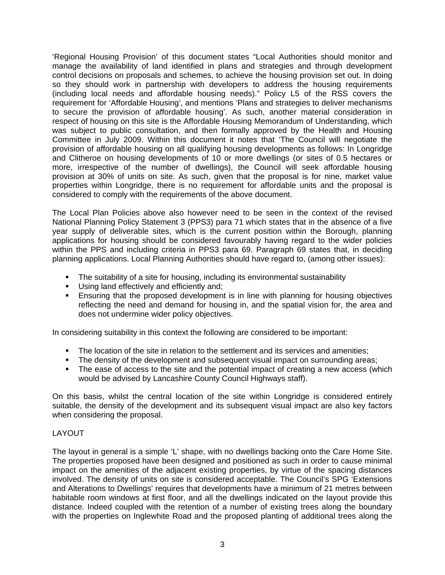'Regional Housing Provision' of this document states "Local Authorities should monitor and manage the availability of land identified in plans and strategies and through development control decisions on proposals and schemes, to achieve the housing provision set out. In doing so they should work in partnership with developers to address the housing requirements (including local needs and affordable housing needs)." Policy L5 of the RSS covers the requirement for 'Affordable Housing', and mentions 'Plans and strategies to deliver mechanisms to secure the provision of affordable housing'. As such, another material consideration in respect of housing on this site is the Affordable Housing Memorandum of Understanding, which was subject to public consultation, and then formally approved by the Health and Housing Committee in July 2009. Within this document it notes that 'The Council will negotiate the provision of affordable housing on all qualifying housing developments as follows: In Longridge and Clitheroe on housing developments of 10 or more dwellings (or sites of 0.5 hectares or more, irrespective of the number of dwellings), the Council will seek affordable housing provision at 30% of units on site. As such, given that the proposal is for nine, market value properties within Longridge, there is no requirement for affordable units and the proposal is considered to comply with the requirements of the above document.

The Local Plan Policies above also however need to be seen in the context of the revised National Planning Policy Statement 3 (PPS3) para 71 which states that in the absence of a five year supply of deliverable sites, which is the current position within the Borough, planning applications for housing should be considered favourably having regard to the wider policies within the PPS and including criteria in PPS3 para 69. Paragraph 69 states that, in deciding planning applications. Local Planning Authorities should have regard to, (among other issues):

- The suitability of a site for housing, including its environmental sustainability
- **Using land effectively and efficiently and;**
- **Ensuring that the proposed development is in line with planning for housing objectives** reflecting the need and demand for housing in, and the spatial vision for, the area and does not undermine wider policy objectives.

In considering suitability in this context the following are considered to be important:

- The location of the site in relation to the settlement and its services and amenities;
- The density of the development and subsequent visual impact on surrounding areas;
- The ease of access to the site and the potential impact of creating a new access (which would be advised by Lancashire County Council Highways staff).

On this basis, whilst the central location of the site within Longridge is considered entirely suitable, the density of the development and its subsequent visual impact are also key factors when considering the proposal.

## LAYOUT

The layout in general is a simple 'L' shape, with no dwellings backing onto the Care Home Site. The properties proposed have been designed and positioned as such in order to cause minimal impact on the amenities of the adjacent existing properties, by virtue of the spacing distances involved. The density of units on site is considered acceptable. The Council's SPG 'Extensions and Alterations to Dwellings' requires that developments have a minimum of 21 metres between habitable room windows at first floor, and all the dwellings indicated on the layout provide this distance. Indeed coupled with the retention of a number of existing trees along the boundary with the properties on Inglewhite Road and the proposed planting of additional trees along the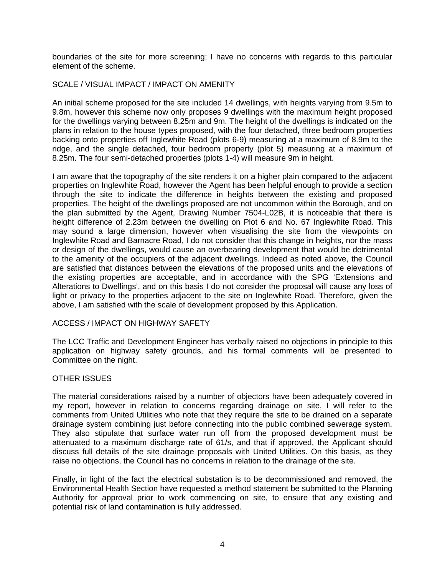boundaries of the site for more screening; I have no concerns with regards to this particular element of the scheme.

## SCALE / VISUAL IMPACT / IMPACT ON AMENITY

An initial scheme proposed for the site included 14 dwellings, with heights varying from 9.5m to 9.8m, however this scheme now only proposes 9 dwellings with the maximum height proposed for the dwellings varying between 8.25m and 9m. The height of the dwellings is indicated on the plans in relation to the house types proposed, with the four detached, three bedroom properties backing onto properties off Inglewhite Road (plots 6-9) measuring at a maximum of 8.9m to the ridge, and the single detached, four bedroom property (plot 5) measuring at a maximum of 8.25m. The four semi-detached properties (plots 1-4) will measure 9m in height.

I am aware that the topography of the site renders it on a higher plain compared to the adjacent properties on Inglewhite Road, however the Agent has been helpful enough to provide a section through the site to indicate the difference in heights between the existing and proposed properties. The height of the dwellings proposed are not uncommon within the Borough, and on the plan submitted by the Agent, Drawing Number 7504-L02B, it is noticeable that there is height difference of 2.23m between the dwelling on Plot 6 and No. 67 Inglewhite Road. This may sound a large dimension, however when visualising the site from the viewpoints on Inglewhite Road and Barnacre Road, I do not consider that this change in heights, nor the mass or design of the dwellings, would cause an overbearing development that would be detrimental to the amenity of the occupiers of the adjacent dwellings. Indeed as noted above, the Council are satisfied that distances between the elevations of the proposed units and the elevations of the existing properties are acceptable, and in accordance with the SPG 'Extensions and Alterations to Dwellings', and on this basis I do not consider the proposal will cause any loss of light or privacy to the properties adjacent to the site on Inglewhite Road. Therefore, given the above, I am satisfied with the scale of development proposed by this Application.

#### ACCESS / IMPACT ON HIGHWAY SAFETY

The LCC Traffic and Development Engineer has verbally raised no objections in principle to this application on highway safety grounds, and his formal comments will be presented to Committee on the night.

## OTHER ISSUES

The material considerations raised by a number of objectors have been adequately covered in my report, however in relation to concerns regarding drainage on site, I will refer to the comments from United Utilities who note that they require the site to be drained on a separate drainage system combining just before connecting into the public combined sewerage system. They also stipulate that surface water run off from the proposed development must be attenuated to a maximum discharge rate of 61/s, and that if approved, the Applicant should discuss full details of the site drainage proposals with United Utilities. On this basis, as they raise no objections, the Council has no concerns in relation to the drainage of the site.

Finally, in light of the fact the electrical substation is to be decommissioned and removed, the Environmental Health Section have requested a method statement be submitted to the Planning Authority for approval prior to work commencing on site, to ensure that any existing and potential risk of land contamination is fully addressed.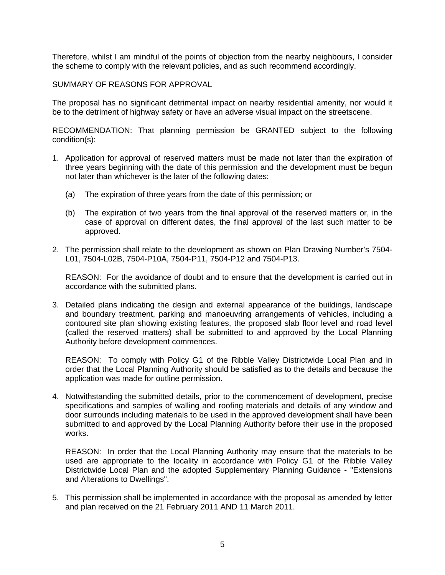Therefore, whilst I am mindful of the points of objection from the nearby neighbours, I consider the scheme to comply with the relevant policies, and as such recommend accordingly.

SUMMARY OF REASONS FOR APPROVAL

The proposal has no significant detrimental impact on nearby residential amenity, nor would it be to the detriment of highway safety or have an adverse visual impact on the streetscene.

RECOMMENDATION: That planning permission be GRANTED subject to the following condition(s):

- 1. Application for approval of reserved matters must be made not later than the expiration of three years beginning with the date of this permission and the development must be begun not later than whichever is the later of the following dates:
	- (a) The expiration of three years from the date of this permission; or
	- (b) The expiration of two years from the final approval of the reserved matters or, in the case of approval on different dates, the final approval of the last such matter to be approved.
- 2. The permission shall relate to the development as shown on Plan Drawing Number's 7504- L01, 7504-L02B, 7504-P10A, 7504-P11, 7504-P12 and 7504-P13.

 REASON: For the avoidance of doubt and to ensure that the development is carried out in accordance with the submitted plans.

3. Detailed plans indicating the design and external appearance of the buildings, landscape and boundary treatment, parking and manoeuvring arrangements of vehicles, including a contoured site plan showing existing features, the proposed slab floor level and road level (called the reserved matters) shall be submitted to and approved by the Local Planning Authority before development commences.

 REASON: To comply with Policy G1 of the Ribble Valley Districtwide Local Plan and in order that the Local Planning Authority should be satisfied as to the details and because the application was made for outline permission.

4. Notwithstanding the submitted details, prior to the commencement of development, precise specifications and samples of walling and roofing materials and details of any window and door surrounds including materials to be used in the approved development shall have been submitted to and approved by the Local Planning Authority before their use in the proposed works.

 REASON: In order that the Local Planning Authority may ensure that the materials to be used are appropriate to the locality in accordance with Policy G1 of the Ribble Valley Districtwide Local Plan and the adopted Supplementary Planning Guidance - "Extensions and Alterations to Dwellings".

5. This permission shall be implemented in accordance with the proposal as amended by letter and plan received on the 21 February 2011 AND 11 March 2011.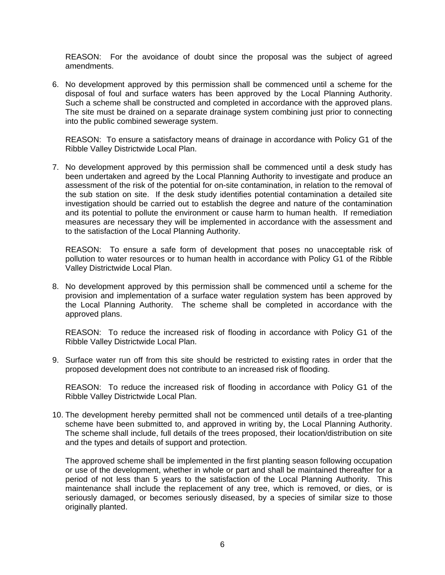REASON: For the avoidance of doubt since the proposal was the subject of agreed amendments.

6. No development approved by this permission shall be commenced until a scheme for the disposal of foul and surface waters has been approved by the Local Planning Authority. Such a scheme shall be constructed and completed in accordance with the approved plans. The site must be drained on a separate drainage system combining just prior to connecting into the public combined sewerage system.

 REASON: To ensure a satisfactory means of drainage in accordance with Policy G1 of the Ribble Valley Districtwide Local Plan.

7. No development approved by this permission shall be commenced until a desk study has been undertaken and agreed by the Local Planning Authority to investigate and produce an assessment of the risk of the potential for on-site contamination, in relation to the removal of the sub station on site. If the desk study identifies potential contamination a detailed site investigation should be carried out to establish the degree and nature of the contamination and its potential to pollute the environment or cause harm to human health. If remediation measures are necessary they will be implemented in accordance with the assessment and to the satisfaction of the Local Planning Authority.

 REASON: To ensure a safe form of development that poses no unacceptable risk of pollution to water resources or to human health in accordance with Policy G1 of the Ribble Valley Districtwide Local Plan.

8. No development approved by this permission shall be commenced until a scheme for the provision and implementation of a surface water regulation system has been approved by the Local Planning Authority. The scheme shall be completed in accordance with the approved plans.

 REASON: To reduce the increased risk of flooding in accordance with Policy G1 of the Ribble Valley Districtwide Local Plan.

9. Surface water run off from this site should be restricted to existing rates in order that the proposed development does not contribute to an increased risk of flooding.

 REASON: To reduce the increased risk of flooding in accordance with Policy G1 of the Ribble Valley Districtwide Local Plan.

10. The development hereby permitted shall not be commenced until details of a tree-planting scheme have been submitted to, and approved in writing by, the Local Planning Authority. The scheme shall include, full details of the trees proposed, their location/distribution on site and the types and details of support and protection.

 The approved scheme shall be implemented in the first planting season following occupation or use of the development, whether in whole or part and shall be maintained thereafter for a period of not less than 5 years to the satisfaction of the Local Planning Authority. This maintenance shall include the replacement of any tree, which is removed, or dies, or is seriously damaged, or becomes seriously diseased, by a species of similar size to those originally planted.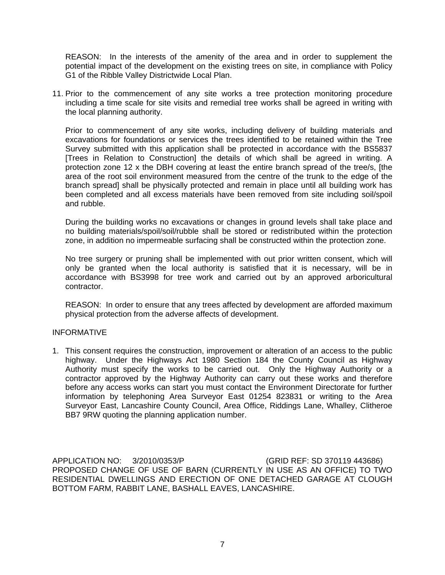REASON: In the interests of the amenity of the area and in order to supplement the potential impact of the development on the existing trees on site, in compliance with Policy G1 of the Ribble Valley Districtwide Local Plan.

11. Prior to the commencement of any site works a tree protection monitoring procedure including a time scale for site visits and remedial tree works shall be agreed in writing with the local planning authority.

 Prior to commencement of any site works, including delivery of building materials and excavations for foundations or services the trees identified to be retained within the Tree Survey submitted with this application shall be protected in accordance with the BS5837 [Trees in Relation to Construction] the details of which shall be agreed in writing. A protection zone 12 x the DBH covering at least the entire branch spread of the tree/s, [the area of the root soil environment measured from the centre of the trunk to the edge of the branch spread] shall be physically protected and remain in place until all building work has been completed and all excess materials have been removed from site including soil/spoil and rubble.

 During the building works no excavations or changes in ground levels shall take place and no building materials/spoil/soil/rubble shall be stored or redistributed within the protection zone, in addition no impermeable surfacing shall be constructed within the protection zone.

 No tree surgery or pruning shall be implemented with out prior written consent, which will only be granted when the local authority is satisfied that it is necessary, will be in accordance with BS3998 for tree work and carried out by an approved arboricultural contractor.

 REASON: In order to ensure that any trees affected by development are afforded maximum physical protection from the adverse affects of development.

#### INFORMATIVE

1. This consent requires the construction, improvement or alteration of an access to the public highway. Under the Highways Act 1980 Section 184 the County Council as Highway Authority must specify the works to be carried out. Only the Highway Authority or a contractor approved by the Highway Authority can carry out these works and therefore before any access works can start you must contact the Environment Directorate for further information by telephoning Area Surveyor East 01254 823831 or writing to the Area Surveyor East, Lancashire County Council, Area Office, Riddings Lane, Whalley, Clitheroe BB7 9RW quoting the planning application number.

APPLICATION NO: 3/2010/0353/P (GRID REF: SD 370119 443686) PROPOSED CHANGE OF USE OF BARN (CURRENTLY IN USE AS AN OFFICE) TO TWO RESIDENTIAL DWELLINGS AND ERECTION OF ONE DETACHED GARAGE AT CLOUGH BOTTOM FARM, RABBIT LANE, BASHALL EAVES, LANCASHIRE.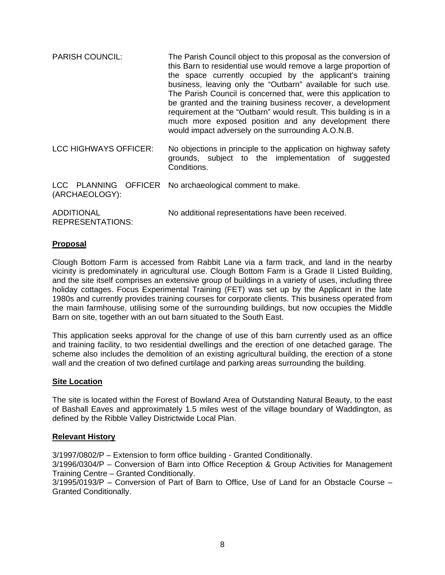PARISH COUNCIL: The Parish Council object to this proposal as the conversion of this Barn to residential use would remove a large proportion of the space currently occupied by the applicant's training business, leaving only the "Outbarn" available for such use. The Parish Council is concerned that, were this application to be granted and the training business recover, a development requirement at the "Outbarn" would result. This building is in a much more exposed position and any development there would impact adversely on the surrounding A.O.N.B. LCC HIGHWAYS OFFICER: No objections in principle to the application on highway safety grounds, subject to the implementation of suggested Conditions. LCC PLANNING OFFICER No archaeological comment to make. (ARCHAEOLOGY):

ADDITIONAL REPRESENTATIONS: No additional representations have been received.

## **Proposal**

Clough Bottom Farm is accessed from Rabbit Lane via a farm track, and land in the nearby vicinity is predominately in agricultural use. Clough Bottom Farm is a Grade II Listed Building, and the site itself comprises an extensive group of buildings in a variety of uses, including three holiday cottages. Focus Experimental Training (FET) was set up by the Applicant in the late 1980s and currently provides training courses for corporate clients. This business operated from the main farmhouse, utilising some of the surrounding buildings, but now occupies the Middle Barn on site, together with an out barn situated to the South East.

This application seeks approval for the change of use of this barn currently used as an office and training facility, to two residential dwellings and the erection of one detached garage. The scheme also includes the demolition of an existing agricultural building, the erection of a stone wall and the creation of two defined curtilage and parking areas surrounding the building.

#### **Site Location**

The site is located within the Forest of Bowland Area of Outstanding Natural Beauty, to the east of Bashall Eaves and approximately 1.5 miles west of the village boundary of Waddington, as defined by the Ribble Valley Districtwide Local Plan.

#### **Relevant History**

3/1997/0802/P – Extension to form office building - Granted Conditionally.

3/1996/0304/P – Conversion of Barn into Office Reception & Group Activities for Management Training Centre – Granted Conditionally.

3/1995/0193/P – Conversion of Part of Barn to Office, Use of Land for an Obstacle Course – Granted Conditionally.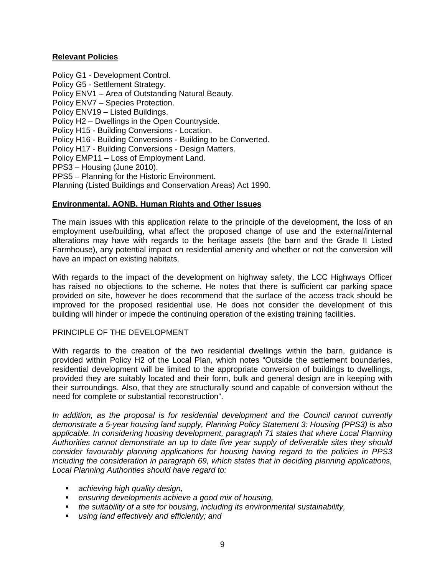## **Relevant Policies**

Policy G1 - Development Control. Policy G5 - Settlement Strategy. Policy ENV1 – Area of Outstanding Natural Beauty. Policy ENV7 – Species Protection. Policy ENV19 – Listed Buildings. Policy H2 – Dwellings in the Open Countryside. Policy H15 - Building Conversions - Location. Policy H16 - Building Conversions - Building to be Converted. Policy H17 - Building Conversions - Design Matters. Policy EMP11 – Loss of Employment Land. PPS3 – Housing (June 2010). PPS5 – Planning for the Historic Environment. Planning (Listed Buildings and Conservation Areas) Act 1990.

## **Environmental, AONB, Human Rights and Other Issues**

The main issues with this application relate to the principle of the development, the loss of an employment use/building, what affect the proposed change of use and the external/internal alterations may have with regards to the heritage assets (the barn and the Grade II Listed Farmhouse), any potential impact on residential amenity and whether or not the conversion will have an impact on existing habitats.

With regards to the impact of the development on highway safety, the LCC Highways Officer has raised no objections to the scheme. He notes that there is sufficient car parking space provided on site, however he does recommend that the surface of the access track should be improved for the proposed residential use. He does not consider the development of this building will hinder or impede the continuing operation of the existing training facilities.

#### PRINCIPLE OF THE DEVELOPMENT

With regards to the creation of the two residential dwellings within the barn, guidance is provided within Policy H2 of the Local Plan, which notes "Outside the settlement boundaries, residential development will be limited to the appropriate conversion of buildings to dwellings, provided they are suitably located and their form, bulk and general design are in keeping with their surroundings. Also, that they are structurally sound and capable of conversion without the need for complete or substantial reconstruction".

*In addition, as the proposal is for residential development and the Council cannot currently demonstrate a 5-year housing land supply, Planning Policy Statement 3: Housing (PPS3) is also applicable. In considering housing development, paragraph 71 states that where Local Planning Authorities cannot demonstrate an up to date five year supply of deliverable sites they should consider favourably planning applications for housing having regard to the policies in PPS3 including the consideration in paragraph 69, which states that in deciding planning applications, Local Planning Authorities should have regard to:* 

- *achieving high quality design,*
- *ensuring developments achieve a good mix of housing,*
- *the suitability of a site for housing, including its environmental sustainability,*
- *using land effectively and efficiently; and*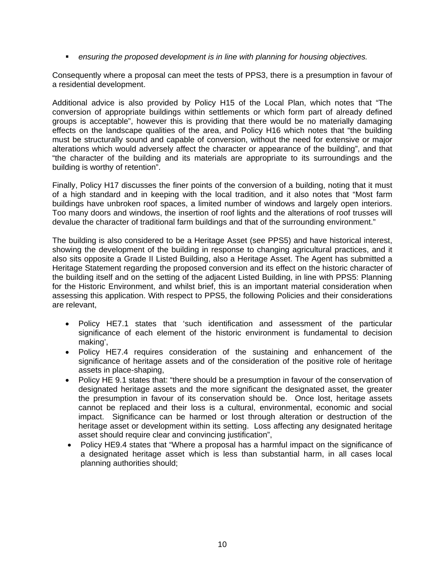**EXEDENT** *ensuring the proposed development is in line with planning for housing objectives.* 

Consequently where a proposal can meet the tests of PPS3, there is a presumption in favour of a residential development.

Additional advice is also provided by Policy H15 of the Local Plan, which notes that "The conversion of appropriate buildings within settlements or which form part of already defined groups is acceptable", however this is providing that there would be no materially damaging effects on the landscape qualities of the area, and Policy H16 which notes that "the building must be structurally sound and capable of conversion, without the need for extensive or major alterations which would adversely affect the character or appearance of the building", and that "the character of the building and its materials are appropriate to its surroundings and the building is worthy of retention".

Finally, Policy H17 discusses the finer points of the conversion of a building, noting that it must of a high standard and in keeping with the local tradition, and it also notes that "Most farm buildings have unbroken roof spaces, a limited number of windows and largely open interiors. Too many doors and windows, the insertion of roof lights and the alterations of roof trusses will devalue the character of traditional farm buildings and that of the surrounding environment."

The building is also considered to be a Heritage Asset (see PPS5) and have historical interest, showing the development of the building in response to changing agricultural practices, and it also sits opposite a Grade II Listed Building, also a Heritage Asset. The Agent has submitted a Heritage Statement regarding the proposed conversion and its effect on the historic character of the building itself and on the setting of the adjacent Listed Building, in line with PPS5: Planning for the Historic Environment, and whilst brief, this is an important material consideration when assessing this application. With respect to PPS5, the following Policies and their considerations are relevant,

- Policy HE7.1 states that 'such identification and assessment of the particular significance of each element of the historic environment is fundamental to decision making',
- Policy HE7.4 requires consideration of the sustaining and enhancement of the significance of heritage assets and of the consideration of the positive role of heritage assets in place-shaping,
- Policy HE 9.1 states that: "there should be a presumption in favour of the conservation of designated heritage assets and the more significant the designated asset, the greater the presumption in favour of its conservation should be. Once lost, heritage assets cannot be replaced and their loss is a cultural, environmental, economic and social impact. Significance can be harmed or lost through alteration or destruction of the heritage asset or development within its setting. Loss affecting any designated heritage asset should require clear and convincing justification",
- Policy HE9.4 states that "Where a proposal has a harmful impact on the significance of a designated heritage asset which is less than substantial harm, in all cases local planning authorities should;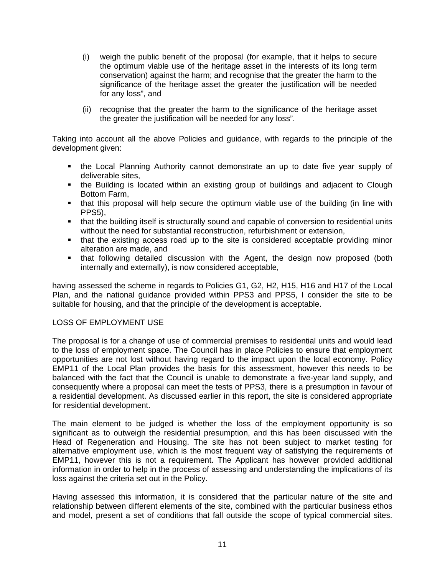- (i) weigh the public benefit of the proposal (for example, that it helps to secure the optimum viable use of the heritage asset in the interests of its long term conservation) against the harm; and recognise that the greater the harm to the significance of the heritage asset the greater the justification will be needed for any loss", and
- (ii) recognise that the greater the harm to the significance of the heritage asset the greater the justification will be needed for any loss".

Taking into account all the above Policies and guidance, with regards to the principle of the development given:

- the Local Planning Authority cannot demonstrate an up to date five year supply of deliverable sites,
- the Building is located within an existing group of buildings and adjacent to Clough Bottom Farm,
- that this proposal will help secure the optimum viable use of the building (in line with PPS5),
- that the building itself is structurally sound and capable of conversion to residential units without the need for substantial reconstruction, refurbishment or extension,
- that the existing access road up to the site is considered acceptable providing minor alteration are made, and
- that following detailed discussion with the Agent, the design now proposed (both internally and externally), is now considered acceptable,

having assessed the scheme in regards to Policies G1, G2, H2, H15, H16 and H17 of the Local Plan, and the national guidance provided within PPS3 and PPS5, I consider the site to be suitable for housing, and that the principle of the development is acceptable.

## LOSS OF EMPLOYMENT USE

The proposal is for a change of use of commercial premises to residential units and would lead to the loss of employment space. The Council has in place Policies to ensure that employment opportunities are not lost without having regard to the impact upon the local economy. Policy EMP11 of the Local Plan provides the basis for this assessment, however this needs to be balanced with the fact that the Council is unable to demonstrate a five-year land supply, and consequently where a proposal can meet the tests of PPS3, there is a presumption in favour of a residential development. As discussed earlier in this report, the site is considered appropriate for residential development.

The main element to be judged is whether the loss of the employment opportunity is so significant as to outweigh the residential presumption, and this has been discussed with the Head of Regeneration and Housing. The site has not been subject to market testing for alternative employment use, which is the most frequent way of satisfying the requirements of EMP11, however this is not a requirement. The Applicant has however provided additional information in order to help in the process of assessing and understanding the implications of its loss against the criteria set out in the Policy.

Having assessed this information, it is considered that the particular nature of the site and relationship between different elements of the site, combined with the particular business ethos and model, present a set of conditions that fall outside the scope of typical commercial sites.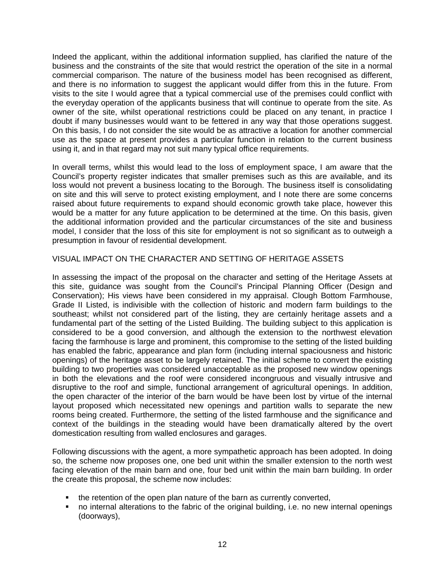Indeed the applicant, within the additional information supplied, has clarified the nature of the business and the constraints of the site that would restrict the operation of the site in a normal commercial comparison. The nature of the business model has been recognised as different, and there is no information to suggest the applicant would differ from this in the future. From visits to the site I would agree that a typical commercial use of the premises could conflict with the everyday operation of the applicants business that will continue to operate from the site. As owner of the site, whilst operational restrictions could be placed on any tenant, in practice I doubt if many businesses would want to be fettered in any way that those operations suggest. On this basis, I do not consider the site would be as attractive a location for another commercial use as the space at present provides a particular function in relation to the current business using it, and in that regard may not suit many typical office requirements.

In overall terms, whilst this would lead to the loss of employment space, I am aware that the Council's property register indicates that smaller premises such as this are available, and its loss would not prevent a business locating to the Borough. The business itself is consolidating on site and this will serve to protect existing employment, and I note there are some concerns raised about future requirements to expand should economic growth take place, however this would be a matter for any future application to be determined at the time. On this basis, given the additional information provided and the particular circumstances of the site and business model, I consider that the loss of this site for employment is not so significant as to outweigh a presumption in favour of residential development.

## VISUAL IMPACT ON THE CHARACTER AND SETTING OF HERITAGE ASSETS

In assessing the impact of the proposal on the character and setting of the Heritage Assets at this site, guidance was sought from the Council's Principal Planning Officer (Design and Conservation); His views have been considered in my appraisal. Clough Bottom Farmhouse, Grade II Listed, is indivisible with the collection of historic and modern farm buildings to the southeast; whilst not considered part of the listing, they are certainly heritage assets and a fundamental part of the setting of the Listed Building. The building subject to this application is considered to be a good conversion, and although the extension to the northwest elevation facing the farmhouse is large and prominent, this compromise to the setting of the listed building has enabled the fabric, appearance and plan form (including internal spaciousness and historic openings) of the heritage asset to be largely retained. The initial scheme to convert the existing building to two properties was considered unacceptable as the proposed new window openings in both the elevations and the roof were considered incongruous and visually intrusive and disruptive to the roof and simple, functional arrangement of agricultural openings. In addition, the open character of the interior of the barn would be have been lost by virtue of the internal layout proposed which necessitated new openings and partition walls to separate the new rooms being created. Furthermore, the setting of the listed farmhouse and the significance and context of the buildings in the steading would have been dramatically altered by the overt domestication resulting from walled enclosures and garages.

Following discussions with the agent, a more sympathetic approach has been adopted. In doing so, the scheme now proposes one, one bed unit within the smaller extension to the north west facing elevation of the main barn and one, four bed unit within the main barn building. In order the create this proposal, the scheme now includes:

- the retention of the open plan nature of the barn as currently converted,
- no internal alterations to the fabric of the original building, i.e. no new internal openings (doorways),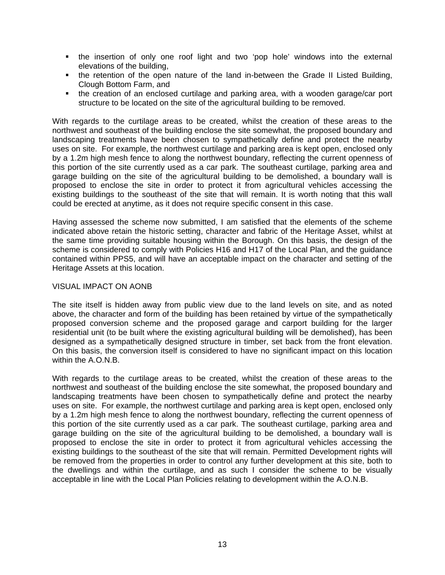- the insertion of only one roof light and two 'pop hole' windows into the external elevations of the building,
- the retention of the open nature of the land in-between the Grade II Listed Building, Clough Bottom Farm, and
- the creation of an enclosed curtilage and parking area, with a wooden garage/car port structure to be located on the site of the agricultural building to be removed.

With regards to the curtilage areas to be created, whilst the creation of these areas to the northwest and southeast of the building enclose the site somewhat, the proposed boundary and landscaping treatments have been chosen to sympathetically define and protect the nearby uses on site. For example, the northwest curtilage and parking area is kept open, enclosed only by a 1.2m high mesh fence to along the northwest boundary, reflecting the current openness of this portion of the site currently used as a car park. The southeast curtilage, parking area and garage building on the site of the agricultural building to be demolished, a boundary wall is proposed to enclose the site in order to protect it from agricultural vehicles accessing the existing buildings to the southeast of the site that will remain. It is worth noting that this wall could be erected at anytime, as it does not require specific consent in this case.

Having assessed the scheme now submitted, I am satisfied that the elements of the scheme indicated above retain the historic setting, character and fabric of the Heritage Asset, whilst at the same time providing suitable housing within the Borough. On this basis, the design of the scheme is considered to comply with Policies H16 and H17 of the Local Plan, and the guidance contained within PPS5, and will have an acceptable impact on the character and setting of the Heritage Assets at this location.

#### VISUAL IMPACT ON AONB

The site itself is hidden away from public view due to the land levels on site, and as noted above, the character and form of the building has been retained by virtue of the sympathetically proposed conversion scheme and the proposed garage and carport building for the larger residential unit (to be built where the existing agricultural building will be demolished), has been designed as a sympathetically designed structure in timber, set back from the front elevation. On this basis, the conversion itself is considered to have no significant impact on this location within the A.O.N.B.

With regards to the curtilage areas to be created, whilst the creation of these areas to the northwest and southeast of the building enclose the site somewhat, the proposed boundary and landscaping treatments have been chosen to sympathetically define and protect the nearby uses on site. For example, the northwest curtilage and parking area is kept open, enclosed only by a 1.2m high mesh fence to along the northwest boundary, reflecting the current openness of this portion of the site currently used as a car park. The southeast curtilage, parking area and garage building on the site of the agricultural building to be demolished, a boundary wall is proposed to enclose the site in order to protect it from agricultural vehicles accessing the existing buildings to the southeast of the site that will remain. Permitted Development rights will be removed from the properties in order to control any further development at this site, both to the dwellings and within the curtilage, and as such I consider the scheme to be visually acceptable in line with the Local Plan Policies relating to development within the A.O.N.B.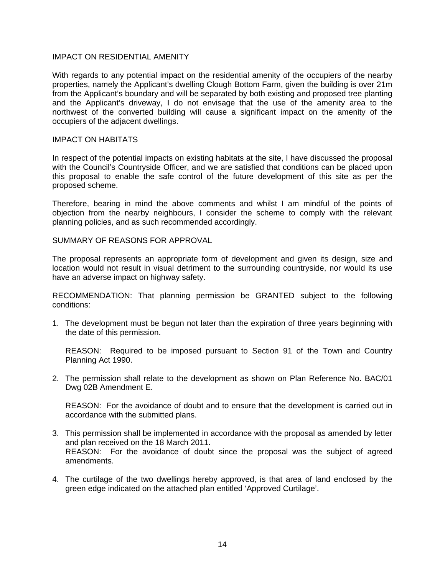## IMPACT ON RESIDENTIAL AMENITY

With regards to any potential impact on the residential amenity of the occupiers of the nearby properties, namely the Applicant's dwelling Clough Bottom Farm, given the building is over 21m from the Applicant's boundary and will be separated by both existing and proposed tree planting and the Applicant's driveway, I do not envisage that the use of the amenity area to the northwest of the converted building will cause a significant impact on the amenity of the occupiers of the adjacent dwellings.

#### IMPACT ON HABITATS

In respect of the potential impacts on existing habitats at the site, I have discussed the proposal with the Council's Countryside Officer, and we are satisfied that conditions can be placed upon this proposal to enable the safe control of the future development of this site as per the proposed scheme.

Therefore, bearing in mind the above comments and whilst I am mindful of the points of objection from the nearby neighbours, I consider the scheme to comply with the relevant planning policies, and as such recommended accordingly.

SUMMARY OF REASONS FOR APPROVAL

The proposal represents an appropriate form of development and given its design, size and location would not result in visual detriment to the surrounding countryside, nor would its use have an adverse impact on highway safety.

RECOMMENDATION: That planning permission be GRANTED subject to the following conditions:

1. The development must be begun not later than the expiration of three years beginning with the date of this permission.

 REASON: Required to be imposed pursuant to Section 91 of the Town and Country Planning Act 1990.

2. The permission shall relate to the development as shown on Plan Reference No. BAC/01 Dwg 02B Amendment E.

 REASON: For the avoidance of doubt and to ensure that the development is carried out in accordance with the submitted plans.

- 3. This permission shall be implemented in accordance with the proposal as amended by letter and plan received on the 18 March 2011. REASON: For the avoidance of doubt since the proposal was the subject of agreed amendments.
- 4. The curtilage of the two dwellings hereby approved, is that area of land enclosed by the green edge indicated on the attached plan entitled 'Approved Curtilage'.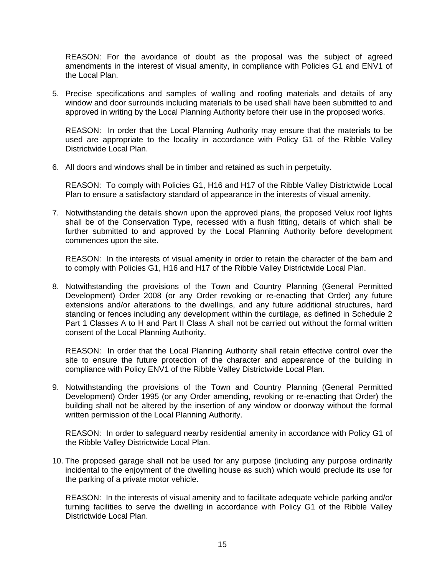REASON: For the avoidance of doubt as the proposal was the subject of agreed amendments in the interest of visual amenity, in compliance with Policies G1 and ENV1 of the Local Plan.

5. Precise specifications and samples of walling and roofing materials and details of any window and door surrounds including materials to be used shall have been submitted to and approved in writing by the Local Planning Authority before their use in the proposed works.

 REASON: In order that the Local Planning Authority may ensure that the materials to be used are appropriate to the locality in accordance with Policy G1 of the Ribble Valley Districtwide Local Plan.

6. All doors and windows shall be in timber and retained as such in perpetuity.

 REASON: To comply with Policies G1, H16 and H17 of the Ribble Valley Districtwide Local Plan to ensure a satisfactory standard of appearance in the interests of visual amenity.

7. Notwithstanding the details shown upon the approved plans, the proposed Velux roof lights shall be of the Conservation Type, recessed with a flush fitting, details of which shall be further submitted to and approved by the Local Planning Authority before development commences upon the site.

 REASON: In the interests of visual amenity in order to retain the character of the barn and to comply with Policies G1, H16 and H17 of the Ribble Valley Districtwide Local Plan.

8. Notwithstanding the provisions of the Town and Country Planning (General Permitted Development) Order 2008 (or any Order revoking or re-enacting that Order) any future extensions and/or alterations to the dwellings, and any future additional structures, hard standing or fences including any development within the curtilage, as defined in Schedule 2 Part 1 Classes A to H and Part II Class A shall not be carried out without the formal written consent of the Local Planning Authority.

 REASON: In order that the Local Planning Authority shall retain effective control over the site to ensure the future protection of the character and appearance of the building in compliance with Policy ENV1 of the Ribble Valley Districtwide Local Plan.

9. Notwithstanding the provisions of the Town and Country Planning (General Permitted Development) Order 1995 (or any Order amending, revoking or re-enacting that Order) the building shall not be altered by the insertion of any window or doorway without the formal written permission of the Local Planning Authority.

 REASON: In order to safeguard nearby residential amenity in accordance with Policy G1 of the Ribble Valley Districtwide Local Plan.

10. The proposed garage shall not be used for any purpose (including any purpose ordinarily incidental to the enjoyment of the dwelling house as such) which would preclude its use for the parking of a private motor vehicle.

 REASON: In the interests of visual amenity and to facilitate adequate vehicle parking and/or turning facilities to serve the dwelling in accordance with Policy G1 of the Ribble Valley Districtwide Local Plan.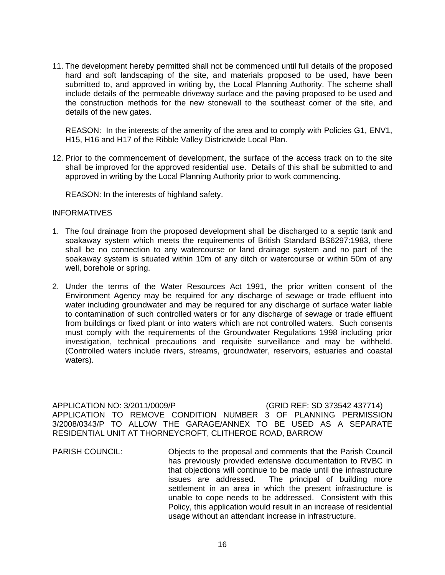11. The development hereby permitted shall not be commenced until full details of the proposed hard and soft landscaping of the site, and materials proposed to be used, have been submitted to, and approved in writing by, the Local Planning Authority. The scheme shall include details of the permeable driveway surface and the paving proposed to be used and the construction methods for the new stonewall to the southeast corner of the site, and details of the new gates.

 REASON: In the interests of the amenity of the area and to comply with Policies G1, ENV1, H15, H16 and H17 of the Ribble Valley Districtwide Local Plan.

12. Prior to the commencement of development, the surface of the access track on to the site shall be improved for the approved residential use. Details of this shall be submitted to and approved in writing by the Local Planning Authority prior to work commencing.

REASON: In the interests of highland safety.

#### **INFORMATIVES**

- 1. The foul drainage from the proposed development shall be discharged to a septic tank and soakaway system which meets the requirements of British Standard BS6297:1983, there shall be no connection to any watercourse or land drainage system and no part of the soakaway system is situated within 10m of any ditch or watercourse or within 50m of any well, borehole or spring.
- 2. Under the terms of the Water Resources Act 1991, the prior written consent of the Environment Agency may be required for any discharge of sewage or trade effluent into water including groundwater and may be required for any discharge of surface water liable to contamination of such controlled waters or for any discharge of sewage or trade effluent from buildings or fixed plant or into waters which are not controlled waters. Such consents must comply with the requirements of the Groundwater Regulations 1998 including prior investigation, technical precautions and requisite surveillance and may be withheld. (Controlled waters include rivers, streams, groundwater, reservoirs, estuaries and coastal waters).

APPLICATION NO: 3/2011/0009/P (GRID REF: SD 373542 437714) APPLICATION TO REMOVE CONDITION NUMBER 3 OF PLANNING PERMISSION 3/2008/0343/P TO ALLOW THE GARAGE/ANNEX TO BE USED AS A SEPARATE RESIDENTIAL UNIT AT THORNEYCROFT, CLITHEROE ROAD, BARROW

PARISH COUNCIL: Objects to the proposal and comments that the Parish Council has previously provided extensive documentation to RVBC in that objections will continue to be made until the infrastructure issues are addressed. The principal of building more settlement in an area in which the present infrastructure is unable to cope needs to be addressed. Consistent with this Policy, this application would result in an increase of residential usage without an attendant increase in infrastructure.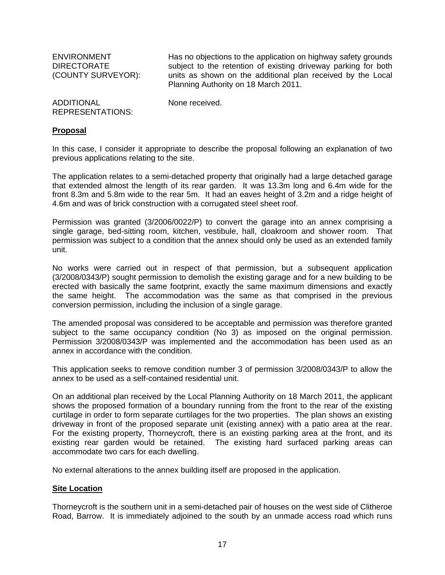ENVIRONMENT DIRECTORATE (COUNTY SURVEYOR): Has no objections to the application on highway safety grounds subject to the retention of existing driveway parking for both units as shown on the additional plan received by the Local Planning Authority on 18 March 2011.

| <b>ADDITIONAL</b>       | None received. |
|-------------------------|----------------|
| <b>REPRESENTATIONS:</b> |                |

#### **Proposal**

In this case, I consider it appropriate to describe the proposal following an explanation of two previous applications relating to the site.

The application relates to a semi-detached property that originally had a large detached garage that extended almost the length of its rear garden. It was 13.3m long and 6.4m wide for the front 8.3m and 5.8m wide to the rear 5m. It had an eaves height of 3.2m and a ridge height of 4.6m and was of brick construction with a corrugated steel sheet roof.

Permission was granted (3/2006/0022/P) to convert the garage into an annex comprising a single garage, bed-sitting room, kitchen, vestibule, hall, cloakroom and shower room. That permission was subject to a condition that the annex should only be used as an extended family unit.

No works were carried out in respect of that permission, but a subsequent application (3/2008/0343/P) sought permission to demolish the existing garage and for a new building to be erected with basically the same footprint, exactly the same maximum dimensions and exactly the same height. The accommodation was the same as that comprised in the previous conversion permission, including the inclusion of a single garage.

The amended proposal was considered to be acceptable and permission was therefore granted subject to the same occupancy condition (No 3) as imposed on the original permission. Permission 3/2008/0343/P was implemented and the accommodation has been used as an annex in accordance with the condition.

This application seeks to remove condition number 3 of permission 3/2008/0343/P to allow the annex to be used as a self-contained residential unit.

On an additional plan received by the Local Planning Authority on 18 March 2011, the applicant shows the proposed formation of a boundary running from the front to the rear of the existing curtilage in order to form separate curtilages for the two properties. The plan shows an existing driveway in front of the proposed separate unit (existing annex) with a patio area at the rear. For the existing property, Thorneycroft, there is an existing parking area at the front, and its existing rear garden would be retained. The existing hard surfaced parking areas can accommodate two cars for each dwelling.

No external alterations to the annex building itself are proposed in the application.

#### **Site Location**

Thorneycroft is the southern unit in a semi-detached pair of houses on the west side of Clitheroe Road, Barrow. It is immediately adjoined to the south by an unmade access road which runs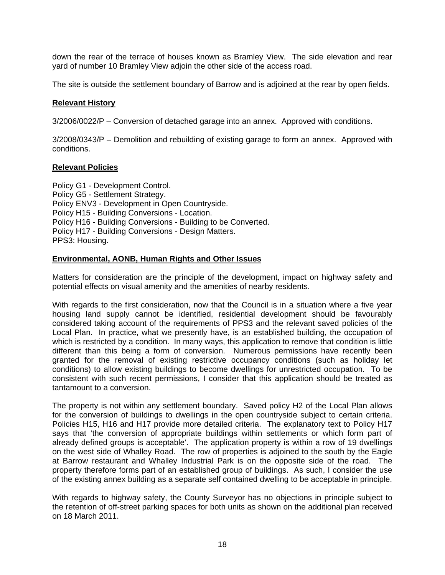down the rear of the terrace of houses known as Bramley View. The side elevation and rear yard of number 10 Bramley View adjoin the other side of the access road.

The site is outside the settlement boundary of Barrow and is adjoined at the rear by open fields.

#### **Relevant History**

3/2006/0022/P – Conversion of detached garage into an annex. Approved with conditions.

3/2008/0343/P – Demolition and rebuilding of existing garage to form an annex. Approved with conditions.

## **Relevant Policies**

Policy G1 - Development Control. Policy G5 - Settlement Strategy. Policy ENV3 - Development in Open Countryside. Policy H15 - Building Conversions - Location. Policy H16 - Building Conversions - Building to be Converted. Policy H17 - Building Conversions - Design Matters. PPS3: Housing.

## **Environmental, AONB, Human Rights and Other Issues**

Matters for consideration are the principle of the development, impact on highway safety and potential effects on visual amenity and the amenities of nearby residents.

With regards to the first consideration, now that the Council is in a situation where a five year housing land supply cannot be identified, residential development should be favourably considered taking account of the requirements of PPS3 and the relevant saved policies of the Local Plan. In practice, what we presently have, is an established building, the occupation of which is restricted by a condition. In many ways, this application to remove that condition is little different than this being a form of conversion. Numerous permissions have recently been granted for the removal of existing restrictive occupancy conditions (such as holiday let conditions) to allow existing buildings to become dwellings for unrestricted occupation. To be consistent with such recent permissions, I consider that this application should be treated as tantamount to a conversion.

The property is not within any settlement boundary. Saved policy H2 of the Local Plan allows for the conversion of buildings to dwellings in the open countryside subject to certain criteria. Policies H15, H16 and H17 provide more detailed criteria. The explanatory text to Policy H17 says that 'the conversion of appropriate buildings within settlements or which form part of already defined groups is acceptable'. The application property is within a row of 19 dwellings on the west side of Whalley Road. The row of properties is adjoined to the south by the Eagle at Barrow restaurant and Whalley Industrial Park is on the opposite side of the road. The property therefore forms part of an established group of buildings. As such, I consider the use of the existing annex building as a separate self contained dwelling to be acceptable in principle.

With regards to highway safety, the County Surveyor has no objections in principle subject to the retention of off-street parking spaces for both units as shown on the additional plan received on 18 March 2011.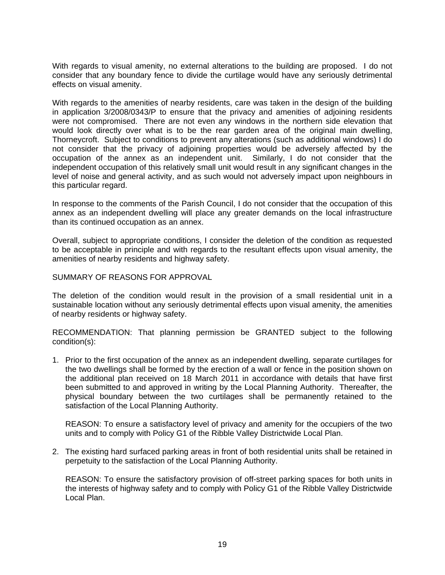With regards to visual amenity, no external alterations to the building are proposed. I do not consider that any boundary fence to divide the curtilage would have any seriously detrimental effects on visual amenity.

With regards to the amenities of nearby residents, care was taken in the design of the building in application 3/2008/0343/P to ensure that the privacy and amenities of adjoining residents were not compromised. There are not even any windows in the northern side elevation that would look directly over what is to be the rear garden area of the original main dwelling, Thorneycroft. Subject to conditions to prevent any alterations (such as additional windows) I do not consider that the privacy of adjoining properties would be adversely affected by the occupation of the annex as an independent unit. Similarly, I do not consider that the independent occupation of this relatively small unit would result in any significant changes in the level of noise and general activity, and as such would not adversely impact upon neighbours in this particular regard.

In response to the comments of the Parish Council, I do not consider that the occupation of this annex as an independent dwelling will place any greater demands on the local infrastructure than its continued occupation as an annex.

Overall, subject to appropriate conditions, I consider the deletion of the condition as requested to be acceptable in principle and with regards to the resultant effects upon visual amenity, the amenities of nearby residents and highway safety.

## SUMMARY OF REASONS FOR APPROVAL

The deletion of the condition would result in the provision of a small residential unit in a sustainable location without any seriously detrimental effects upon visual amenity, the amenities of nearby residents or highway safety.

RECOMMENDATION: That planning permission be GRANTED subject to the following condition(s):

1. Prior to the first occupation of the annex as an independent dwelling, separate curtilages for the two dwellings shall be formed by the erection of a wall or fence in the position shown on the additional plan received on 18 March 2011 in accordance with details that have first been submitted to and approved in writing by the Local Planning Authority. Thereafter, the physical boundary between the two curtilages shall be permanently retained to the satisfaction of the Local Planning Authority.

 REASON: To ensure a satisfactory level of privacy and amenity for the occupiers of the two units and to comply with Policy G1 of the Ribble Valley Districtwide Local Plan.

2. The existing hard surfaced parking areas in front of both residential units shall be retained in perpetuity to the satisfaction of the Local Planning Authority.

 REASON: To ensure the satisfactory provision of off-street parking spaces for both units in the interests of highway safety and to comply with Policy G1 of the Ribble Valley Districtwide Local Plan.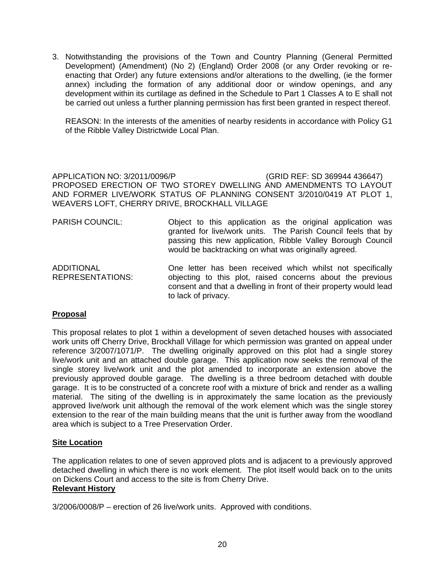3. Notwithstanding the provisions of the Town and Country Planning (General Permitted Development) (Amendment) (No 2) (England) Order 2008 (or any Order revoking or reenacting that Order) any future extensions and/or alterations to the dwelling, (ie the former annex) including the formation of any additional door or window openings, and any development within its curtilage as defined in the Schedule to Part 1 Classes A to E shall not be carried out unless a further planning permission has first been granted in respect thereof.

 REASON: In the interests of the amenities of nearby residents in accordance with Policy G1 of the Ribble Valley Districtwide Local Plan.

APPLICATION NO: 3/2011/0096/P (GRID REF: SD 369944 436647) PROPOSED ERECTION OF TWO STOREY DWELLING AND AMENDMENTS TO LAYOUT AND FORMER LIVE/WORK STATUS OF PLANNING CONSENT 3/2010/0419 AT PLOT 1, WEAVERS LOFT, CHERRY DRIVE, BROCKHALL VILLAGE

- PARISH COUNCIL: Object to this application as the original application was granted for live/work units. The Parish Council feels that by passing this new application, Ribble Valley Borough Council would be backtracking on what was originally agreed.
- ADDITIONAL REPRESENTATIONS: One letter has been received which whilst not specifically objecting to this plot, raised concerns about the previous consent and that a dwelling in front of their property would lead to lack of privacy.

## **Proposal**

This proposal relates to plot 1 within a development of seven detached houses with associated work units off Cherry Drive, Brockhall Village for which permission was granted on appeal under reference 3/2007/1071/P. The dwelling originally approved on this plot had a single storey live/work unit and an attached double garage. This application now seeks the removal of the single storey live/work unit and the plot amended to incorporate an extension above the previously approved double garage. The dwelling is a three bedroom detached with double garage. It is to be constructed of a concrete roof with a mixture of brick and render as a walling material. The siting of the dwelling is in approximately the same location as the previously approved live/work unit although the removal of the work element which was the single storey extension to the rear of the main building means that the unit is further away from the woodland area which is subject to a Tree Preservation Order.

## **Site Location**

The application relates to one of seven approved plots and is adjacent to a previously approved detached dwelling in which there is no work element. The plot itself would back on to the units on Dickens Court and access to the site is from Cherry Drive. **Relevant History**

3/2006/0008/P – erection of 26 live/work units. Approved with conditions.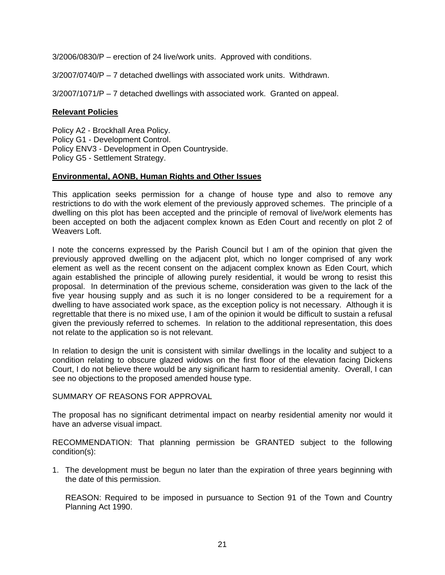3/2006/0830/P – erection of 24 live/work units. Approved with conditions.

3/2007/0740/P – 7 detached dwellings with associated work units. Withdrawn.

3/2007/1071/P – 7 detached dwellings with associated work. Granted on appeal.

## **Relevant Policies**

Policy A2 - Brockhall Area Policy. Policy G1 - Development Control. Policy ENV3 - Development in Open Countryside. Policy G5 - Settlement Strategy.

## **Environmental, AONB, Human Rights and Other Issues**

This application seeks permission for a change of house type and also to remove any restrictions to do with the work element of the previously approved schemes. The principle of a dwelling on this plot has been accepted and the principle of removal of live/work elements has been accepted on both the adjacent complex known as Eden Court and recently on plot 2 of Weavers Loft.

I note the concerns expressed by the Parish Council but I am of the opinion that given the previously approved dwelling on the adjacent plot, which no longer comprised of any work element as well as the recent consent on the adjacent complex known as Eden Court, which again established the principle of allowing purely residential, it would be wrong to resist this proposal. In determination of the previous scheme, consideration was given to the lack of the five year housing supply and as such it is no longer considered to be a requirement for a dwelling to have associated work space, as the exception policy is not necessary. Although it is regrettable that there is no mixed use, I am of the opinion it would be difficult to sustain a refusal given the previously referred to schemes. In relation to the additional representation, this does not relate to the application so is not relevant.

In relation to design the unit is consistent with similar dwellings in the locality and subject to a condition relating to obscure glazed widows on the first floor of the elevation facing Dickens Court, I do not believe there would be any significant harm to residential amenity. Overall, I can see no objections to the proposed amended house type.

#### SUMMARY OF REASONS FOR APPROVAL

The proposal has no significant detrimental impact on nearby residential amenity nor would it have an adverse visual impact.

RECOMMENDATION: That planning permission be GRANTED subject to the following condition(s):

1. The development must be begun no later than the expiration of three years beginning with the date of this permission.

 REASON: Required to be imposed in pursuance to Section 91 of the Town and Country Planning Act 1990.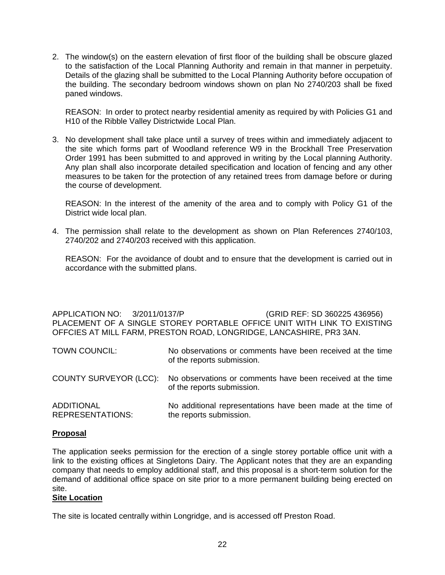2. The window(s) on the eastern elevation of first floor of the building shall be obscure glazed to the satisfaction of the Local Planning Authority and remain in that manner in perpetuity. Details of the glazing shall be submitted to the Local Planning Authority before occupation of the building. The secondary bedroom windows shown on plan No 2740/203 shall be fixed paned windows.

 REASON: In order to protect nearby residential amenity as required by with Policies G1 and H10 of the Ribble Valley Districtwide Local Plan.

3. No development shall take place until a survey of trees within and immediately adjacent to the site which forms part of Woodland reference W9 in the Brockhall Tree Preservation Order 1991 has been submitted to and approved in writing by the Local planning Authority. Any plan shall also incorporate detailed specification and location of fencing and any other measures to be taken for the protection of any retained trees from damage before or during the course of development.

 REASON: In the interest of the amenity of the area and to comply with Policy G1 of the District wide local plan.

4. The permission shall relate to the development as shown on Plan References 2740/103, 2740/202 and 2740/203 received with this application.

 REASON: For the avoidance of doubt and to ensure that the development is carried out in accordance with the submitted plans.

APPLICATION NO: 3/2011/0137/P (GRID REF: SD 360225 436956) PLACEMENT OF A SINGLE STOREY PORTABLE OFFICE UNIT WITH LINK TO EXISTING OFFCIES AT MILL FARM, PRESTON ROAD, LONGRIDGE, LANCASHIRE, PR3 3AN.

| <b>TOWN COUNCIL:</b>                         | No observations or comments have been received at the time<br>of the reports submission. |
|----------------------------------------------|------------------------------------------------------------------------------------------|
| <b>COUNTY SURVEYOR (LCC):</b>                | No observations or comments have been received at the time<br>of the reports submission. |
| <b>ADDITIONAL</b><br><b>REPRESENTATIONS:</b> | No additional representations have been made at the time of<br>the reports submission.   |

## **Proposal**

The application seeks permission for the erection of a single storey portable office unit with a link to the existing offices at Singletons Dairy. The Applicant notes that they are an expanding company that needs to employ additional staff, and this proposal is a short-term solution for the demand of additional office space on site prior to a more permanent building being erected on site.

## **Site Location**

The site is located centrally within Longridge, and is accessed off Preston Road.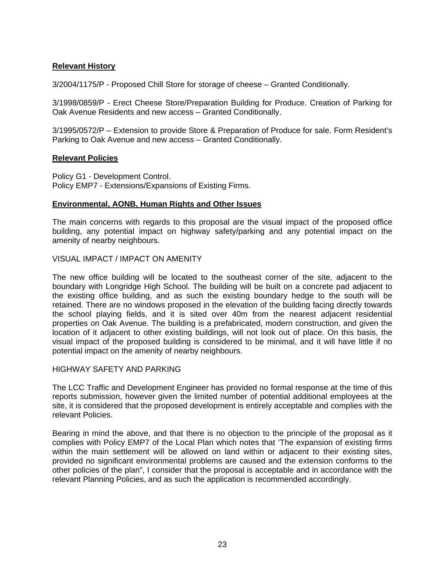## **Relevant History**

3/2004/1175/P - Proposed Chill Store for storage of cheese – Granted Conditionally.

3/1998/0859/P - Erect Cheese Store/Preparation Building for Produce. Creation of Parking for Oak Avenue Residents and new access – Granted Conditionally.

3/1995/0572/P – Extension to provide Store & Preparation of Produce for sale. Form Resident's Parking to Oak Avenue and new access – Granted Conditionally.

#### **Relevant Policies**

Policy G1 - Development Control. Policy EMP7 - Extensions/Expansions of Existing Firms.

#### **Environmental, AONB, Human Rights and Other Issues**

The main concerns with regards to this proposal are the visual impact of the proposed office building, any potential impact on highway safety/parking and any potential impact on the amenity of nearby neighbours.

#### VISUAL IMPACT / IMPACT ON AMENITY

The new office building will be located to the southeast corner of the site, adjacent to the boundary with Longridge High School. The building will be built on a concrete pad adjacent to the existing office building, and as such the existing boundary hedge to the south will be retained. There are no windows proposed in the elevation of the building facing directly towards the school playing fields, and it is sited over 40m from the nearest adjacent residential properties on Oak Avenue. The building is a prefabricated, modern construction, and given the location of it adjacent to other existing buildings, will not look out of place. On this basis, the visual impact of the proposed building is considered to be minimal, and it will have little if no potential impact on the amenity of nearby neighbours.

## HIGHWAY SAFETY AND PARKING

The LCC Traffic and Development Engineer has provided no formal response at the time of this reports submission, however given the limited number of potential additional employees at the site, it is considered that the proposed development is entirely acceptable and complies with the relevant Policies.

Bearing in mind the above, and that there is no objection to the principle of the proposal as it complies with Policy EMP7 of the Local Plan which notes that 'The expansion of existing firms within the main settlement will be allowed on land within or adjacent to their existing sites, provided no significant environmental problems are caused and the extension conforms to the other policies of the plan", I consider that the proposal is acceptable and in accordance with the relevant Planning Policies, and as such the application is recommended accordingly.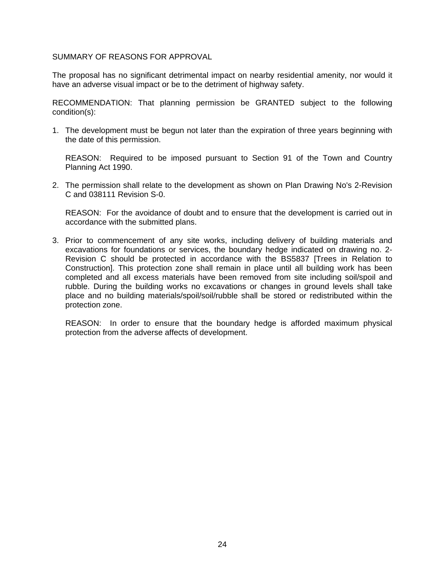#### SUMMARY OF REASONS FOR APPROVAL

The proposal has no significant detrimental impact on nearby residential amenity, nor would it have an adverse visual impact or be to the detriment of highway safety.

RECOMMENDATION: That planning permission be GRANTED subject to the following condition(s):

1. The development must be begun not later than the expiration of three years beginning with the date of this permission.

 REASON: Required to be imposed pursuant to Section 91 of the Town and Country Planning Act 1990.

2. The permission shall relate to the development as shown on Plan Drawing No's 2-Revision C and 038111 Revision S-0.

 REASON: For the avoidance of doubt and to ensure that the development is carried out in accordance with the submitted plans.

3. Prior to commencement of any site works, including delivery of building materials and excavations for foundations or services, the boundary hedge indicated on drawing no. 2- Revision C should be protected in accordance with the BS5837 [Trees in Relation to Construction]. This protection zone shall remain in place until all building work has been completed and all excess materials have been removed from site including soil/spoil and rubble. During the building works no excavations or changes in ground levels shall take place and no building materials/spoil/soil/rubble shall be stored or redistributed within the protection zone.

 REASON: In order to ensure that the boundary hedge is afforded maximum physical protection from the adverse affects of development.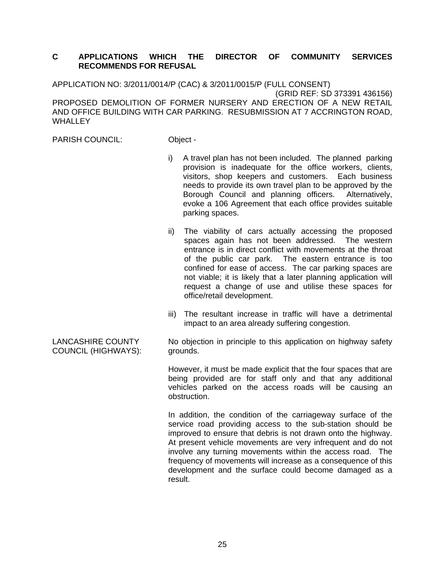## **C APPLICATIONS WHICH THE DIRECTOR OF COMMUNITY SERVICES RECOMMENDS FOR REFUSAL**

APPLICATION NO: 3/2011/0014/P (CAC) & 3/2011/0015/P (FULL CONSENT) (GRID REF: SD 373391 436156) PROPOSED DEMOLITION OF FORMER NURSERY AND ERECTION OF A NEW RETAIL AND OFFICE BUILDING WITH CAR PARKING. RESUBMISSION AT 7 ACCRINGTON ROAD, **WHALLEY** 

PARISH COUNCIL: Object -

- i) A travel plan has not been included. The planned parking provision is inadequate for the office workers, clients, visitors, shop keepers and customers. Each business needs to provide its own travel plan to be approved by the Borough Council and planning officers. Alternatively, evoke a 106 Agreement that each office provides suitable parking spaces.
- ii) The viability of cars actually accessing the proposed spaces again has not been addressed. The western entrance is in direct conflict with movements at the throat of the public car park. The eastern entrance is too confined for ease of access. The car parking spaces are not viable; it is likely that a later planning application will request a change of use and utilise these spaces for office/retail development.
- iii) The resultant increase in traffic will have a detrimental impact to an area already suffering congestion.

No objection in principle to this application on highway safety grounds.

However, it must be made explicit that the four spaces that are being provided are for staff only and that any additional vehicles parked on the access roads will be causing an obstruction.

In addition, the condition of the carriageway surface of the service road providing access to the sub-station should be improved to ensure that debris is not drawn onto the highway. At present vehicle movements are very infrequent and do not involve any turning movements within the access road. The frequency of movements will increase as a consequence of this development and the surface could become damaged as a result.

LANCASHIRE COUNTY COUNCIL (HIGHWAYS):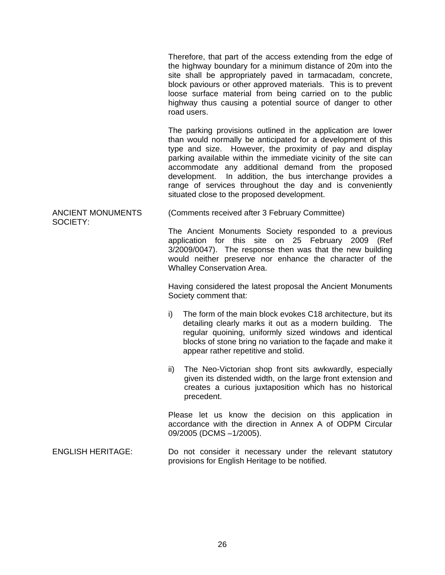Therefore, that part of the access extending from the edge of the highway boundary for a minimum distance of 20m into the site shall be appropriately paved in tarmacadam, concrete, block paviours or other approved materials. This is to prevent loose surface material from being carried on to the public highway thus causing a potential source of danger to other road users.

The parking provisions outlined in the application are lower than would normally be anticipated for a development of this type and size. However, the proximity of pay and display parking available within the immediate vicinity of the site can accommodate any additional demand from the proposed development. In addition, the bus interchange provides a range of services throughout the day and is conveniently situated close to the proposed development.

ANCIENT MONUMENTS (Comments received after 3 February Committee)

SOCIETY:

The Ancient Monuments Society responded to a previous application for this site on 25 February 2009 (Ref 3/2009/0047). The response then was that the new building would neither preserve nor enhance the character of the Whalley Conservation Area.

Having considered the latest proposal the Ancient Monuments Society comment that:

- i) The form of the main block evokes C18 architecture, but its detailing clearly marks it out as a modern building. The regular quoining, uniformly sized windows and identical blocks of stone bring no variation to the façade and make it appear rather repetitive and stolid.
- ii) The Neo-Victorian shop front sits awkwardly, especially given its distended width, on the large front extension and creates a curious juxtaposition which has no historical precedent.

Please let us know the decision on this application in accordance with the direction in Annex A of ODPM Circular 09/2005 (DCMS –1/2005).

ENGLISH HERITAGE: Do not consider it necessary under the relevant statutory provisions for English Heritage to be notified.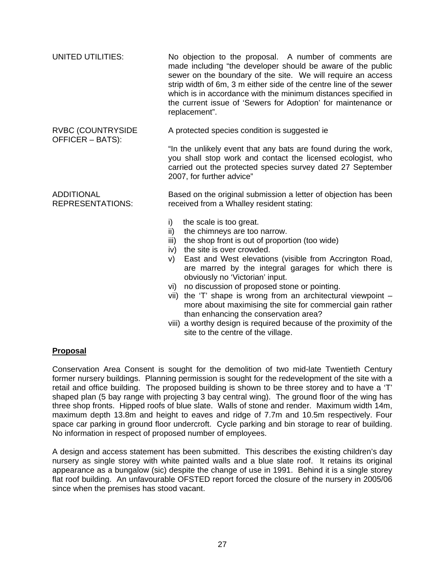| UNITED UTILITIES:                            | No objection to the proposal. A number of comments are<br>made including "the developer should be aware of the public<br>sewer on the boundary of the site. We will require an access<br>strip width of 6m, 3 m either side of the centre line of the sewer<br>which is in accordance with the minimum distances specified in<br>the current issue of 'Sewers for Adoption' for maintenance or<br>replacement".                                                                                                                                                                                                                                                                                                                                                                               |  |
|----------------------------------------------|-----------------------------------------------------------------------------------------------------------------------------------------------------------------------------------------------------------------------------------------------------------------------------------------------------------------------------------------------------------------------------------------------------------------------------------------------------------------------------------------------------------------------------------------------------------------------------------------------------------------------------------------------------------------------------------------------------------------------------------------------------------------------------------------------|--|
| <b>RVBC (COUNTRYSIDE</b><br>OFFICER - BATS): | A protected species condition is suggested ie<br>"In the unlikely event that any bats are found during the work,<br>you shall stop work and contact the licensed ecologist, who<br>carried out the protected species survey dated 27 September<br>2007, for further advice"                                                                                                                                                                                                                                                                                                                                                                                                                                                                                                                   |  |
| <b>ADDITIONAL</b><br><b>REPRESENTATIONS:</b> | Based on the original submission a letter of objection has been<br>received from a Whalley resident stating:<br>the scale is too great.<br>i)<br>the chimneys are too narrow.<br>ii)<br>the shop front is out of proportion (too wide)<br>iii)<br>the site is over crowded.<br>iv)<br>East and West elevations (visible from Accrington Road,<br>V)<br>are marred by the integral garages for which there is<br>obviously no 'Victorian' input.<br>no discussion of proposed stone or pointing.<br>Vİ) —<br>the 'T' shape is wrong from an architectural viewpoint -<br>Vii)<br>more about maximising the site for commercial gain rather<br>than enhancing the conservation area?<br>viii) a worthy design is required because of the proximity of the<br>site to the centre of the village. |  |

## **Proposal**

Conservation Area Consent is sought for the demolition of two mid-late Twentieth Century former nursery buildings. Planning permission is sought for the redevelopment of the site with a retail and office building. The proposed building is shown to be three storey and to have a 'T' shaped plan (5 bay range with projecting 3 bay central wing). The ground floor of the wing has three shop fronts. Hipped roofs of blue slate. Walls of stone and render. Maximum width 14m, maximum depth 13.8m and height to eaves and ridge of 7.7m and 10.5m respectively. Four space car parking in ground floor undercroft. Cycle parking and bin storage to rear of building. No information in respect of proposed number of employees.

A design and access statement has been submitted. This describes the existing children's day nursery as single storey with white painted walls and a blue slate roof. It retains its original appearance as a bungalow (sic) despite the change of use in 1991. Behind it is a single storey flat roof building. An unfavourable OFSTED report forced the closure of the nursery in 2005/06 since when the premises has stood vacant.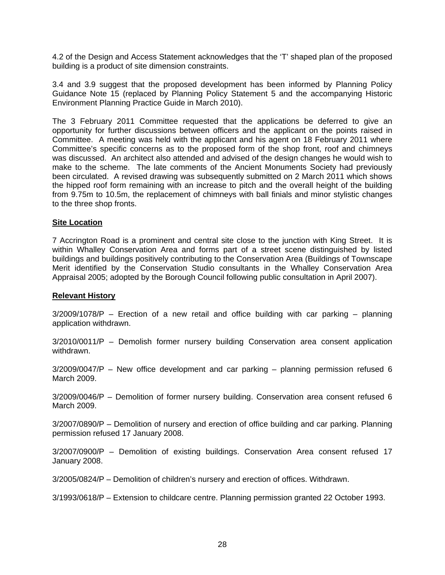4.2 of the Design and Access Statement acknowledges that the 'T' shaped plan of the proposed building is a product of site dimension constraints.

3.4 and 3.9 suggest that the proposed development has been informed by Planning Policy Guidance Note 15 (replaced by Planning Policy Statement 5 and the accompanying Historic Environment Planning Practice Guide in March 2010).

The 3 February 2011 Committee requested that the applications be deferred to give an opportunity for further discussions between officers and the applicant on the points raised in Committee. A meeting was held with the applicant and his agent on 18 February 2011 where Committee's specific concerns as to the proposed form of the shop front, roof and chimneys was discussed. An architect also attended and advised of the design changes he would wish to make to the scheme. The late comments of the Ancient Monuments Society had previously been circulated. A revised drawing was subsequently submitted on 2 March 2011 which shows the hipped roof form remaining with an increase to pitch and the overall height of the building from 9.75m to 10.5m, the replacement of chimneys with ball finials and minor stylistic changes to the three shop fronts.

## **Site Location**

7 Accrington Road is a prominent and central site close to the junction with King Street. It is within Whalley Conservation Area and forms part of a street scene distinguished by listed buildings and buildings positively contributing to the Conservation Area (Buildings of Townscape Merit identified by the Conservation Studio consultants in the Whalley Conservation Area Appraisal 2005; adopted by the Borough Council following public consultation in April 2007).

#### **Relevant History**

3/2009/1078/P – Erection of a new retail and office building with car parking – planning application withdrawn.

3/2010/0011/P – Demolish former nursery building Conservation area consent application withdrawn.

 $3/2009/0047/P$  – New office development and car parking – planning permission refused 6 March 2009.

3/2009/0046/P – Demolition of former nursery building. Conservation area consent refused 6 March 2009.

3/2007/0890/P – Demolition of nursery and erection of office building and car parking. Planning permission refused 17 January 2008.

3/2007/0900/P – Demolition of existing buildings. Conservation Area consent refused 17 January 2008.

3/2005/0824/P – Demolition of children's nursery and erection of offices. Withdrawn.

3/1993/0618/P – Extension to childcare centre. Planning permission granted 22 October 1993.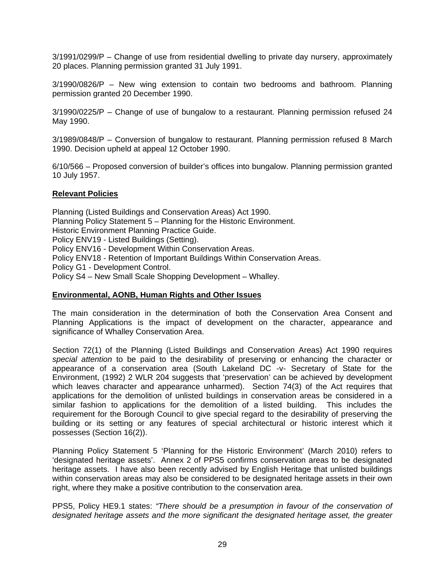3/1991/0299/P – Change of use from residential dwelling to private day nursery, approximately 20 places. Planning permission granted 31 July 1991.

3/1990/0826/P – New wing extension to contain two bedrooms and bathroom. Planning permission granted 20 December 1990.

3/1990/0225/P – Change of use of bungalow to a restaurant. Planning permission refused 24 May 1990.

3/1989/0848/P – Conversion of bungalow to restaurant. Planning permission refused 8 March 1990. Decision upheld at appeal 12 October 1990.

6/10/566 – Proposed conversion of builder's offices into bungalow. Planning permission granted 10 July 1957.

## **Relevant Policies**

Planning (Listed Buildings and Conservation Areas) Act 1990. Planning Policy Statement 5 – Planning for the Historic Environment. Historic Environment Planning Practice Guide. Policy ENV19 - Listed Buildings (Setting). Policy ENV16 - Development Within Conservation Areas. Policy ENV18 - Retention of Important Buildings Within Conservation Areas. Policy G1 - Development Control. Policy S4 – New Small Scale Shopping Development – Whalley.

#### **Environmental, AONB, Human Rights and Other Issues**

The main consideration in the determination of both the Conservation Area Consent and Planning Applications is the impact of development on the character, appearance and significance of Whalley Conservation Area.

Section 72(1) of the Planning (Listed Buildings and Conservation Areas) Act 1990 requires *special attention* to be paid to the desirability of preserving or enhancing the character or appearance of a conservation area (South Lakeland DC -v- Secretary of State for the Environment, (1992) 2 WLR 204 suggests that 'preservation' can be achieved by development which leaves character and appearance unharmed). Section 74(3) of the Act requires that applications for the demolition of unlisted buildings in conservation areas be considered in a similar fashion to applications for the demolition of a listed building. This includes the requirement for the Borough Council to give special regard to the desirability of preserving the building or its setting or any features of special architectural or historic interest which it possesses (Section 16(2)).

Planning Policy Statement 5 'Planning for the Historic Environment' (March 2010) refers to 'designated heritage assets'. Annex 2 of PPS5 confirms conservation areas to be designated heritage assets. I have also been recently advised by English Heritage that unlisted buildings within conservation areas may also be considered to be designated heritage assets in their own right, where they make a positive contribution to the conservation area.

PPS5, Policy HE9.1 states: *"There should be a presumption in favour of the conservation of designated heritage assets and the more significant the designated heritage asset, the greater*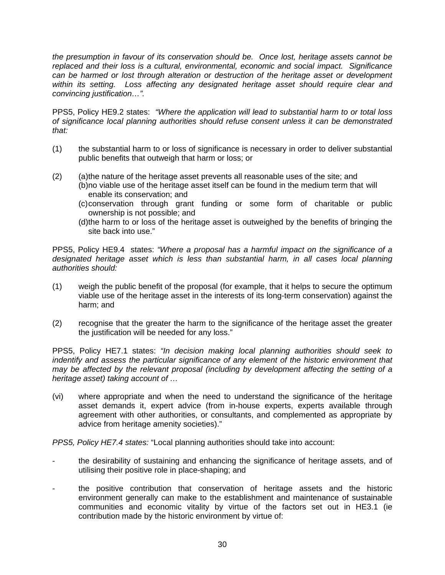*the presumption in favour of its conservation should be. Once lost, heritage assets cannot be replaced and their loss is a cultural, environmental, economic and social impact. Significance can be harmed or lost through alteration or destruction of the heritage asset or development within its setting. Loss affecting any designated heritage asset should require clear and convincing justification…".* 

PPS5, Policy HE9.2 states: *"Where the application will lead to substantial harm to or total loss of significance local planning authorities should refuse consent unless it can be demonstrated that:* 

- (1) the substantial harm to or loss of significance is necessary in order to deliver substantial public benefits that outweigh that harm or loss; or
- (2) (a) the nature of the heritage asset prevents all reasonable uses of the site; and (b) no viable use of the heritage asset itself can be found in the medium term that will enable its conservation; and
	- (c) conservation through grant funding or some form of charitable or public ownership is not possible; and
	- (d) the harm to or loss of the heritage asset is outweighed by the benefits of bringing the site back into use."

PPS5, Policy HE9.4 states: *"Where a proposal has a harmful impact on the significance of a designated heritage asset which is less than substantial harm, in all cases local planning authorities should:* 

- (1) weigh the public benefit of the proposal (for example, that it helps to secure the optimum viable use of the heritage asset in the interests of its long-term conservation) against the harm; and
- (2) recognise that the greater the harm to the significance of the heritage asset the greater the justification will be needed for any loss."

PPS5, Policy HE7.1 states: *"In decision making local planning authorities should seek to indentify and assess the particular significance of any element of the historic environment that may be affected by the relevant proposal (including by development affecting the setting of a heritage asset) taking account of …* 

(vi) where appropriate and when the need to understand the significance of the heritage asset demands it, expert advice (from in-house experts, experts available through agreement with other authorities, or consultants, and complemented as appropriate by advice from heritage amenity societies)."

*PPS5, Policy HE7.4 states:* "Local planning authorities should take into account:

- the desirability of sustaining and enhancing the significance of heritage assets, and of utilising their positive role in place-shaping; and
- the positive contribution that conservation of heritage assets and the historic environment generally can make to the establishment and maintenance of sustainable communities and economic vitality by virtue of the factors set out in HE3.1 (ie contribution made by the historic environment by virtue of: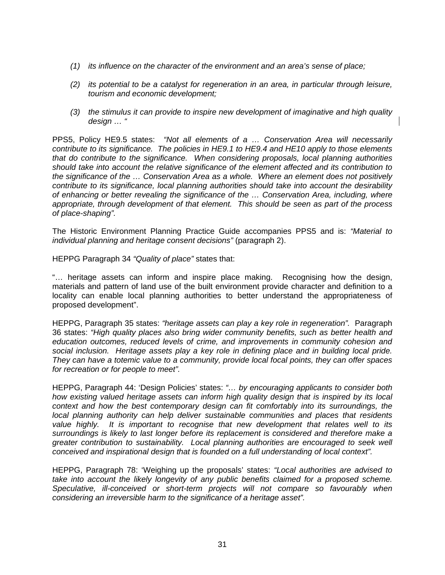- *(1) its influence on the character of the environment and an area's sense of place;*
- *(2) its potential to be a catalyst for regeneration in an area, in particular through leisure, tourism and economic development;*
- *(3) the stimulus it can provide to inspire new development of imaginative and high quality design … "*

PPS5, Policy HE9.5 states: *"Not all elements of a … Conservation Area will necessarily contribute to its significance. The policies in HE9.1 to HE9.4 and HE10 apply to those elements that do contribute to the significance. When considering proposals, local planning authorities should take into account the relative significance of the element affected and its contribution to the significance of the … Conservation Area as a whole. Where an element does not positively contribute to its significance, local planning authorities should take into account the desirability of enhancing or better revealing the significance of the … Conservation Area, including, where appropriate, through development of that element. This should be seen as part of the process of place-shaping".* 

The Historic Environment Planning Practice Guide accompanies PPS5 and is: *"Material to individual planning and heritage consent decisions"* (paragraph 2).

HEPPG Paragraph 34 *"Quality of place"* states that:

"… heritage assets can inform and inspire place making. Recognising how the design, materials and pattern of land use of the built environment provide character and definition to a locality can enable local planning authorities to better understand the appropriateness of proposed development".

HEPPG, Paragraph 35 states: *"heritage assets can play a key role in regeneration".* Paragraph 36 states: *"High quality places also bring wider community benefits, such as better health and education outcomes, reduced levels of crime, and improvements in community cohesion and social inclusion. Heritage assets play a key role in defining place and in building local pride. They can have a totemic value to a community, provide local focal points, they can offer spaces for recreation or for people to meet".* 

HEPPG, Paragraph 44: 'Design Policies' states: *"… by encouraging applicants to consider both how existing valued heritage assets can inform high quality design that is inspired by its local context and how the best contemporary design can fit comfortably into its surroundings, the local planning authority can help deliver sustainable communities and places that residents value highly. It is important to recognise that new development that relates well to its surroundings is likely to last longer before its replacement is considered and therefore make a greater contribution to sustainability. Local planning authorities are encouraged to seek well conceived and inspirational design that is founded on a full understanding of local context".*

HEPPG, Paragraph 78: 'Weighing up the proposals' states: *"Local authorities are advised to take into account the likely longevity of any public benefits claimed for a proposed scheme. Speculative, ill-conceived or short-term projects will not compare so favourably when considering an irreversible harm to the significance of a heritage asset".*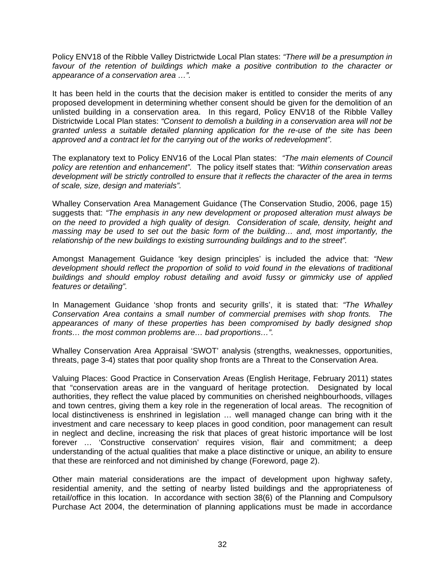Policy ENV18 of the Ribble Valley Districtwide Local Plan states: *"There will be a presumption in favour of the retention of buildings which make a positive contribution to the character or appearance of a conservation area …".* 

It has been held in the courts that the decision maker is entitled to consider the merits of any proposed development in determining whether consent should be given for the demolition of an unlisted building in a conservation area. In this regard, Policy ENV18 of the Ribble Valley Districtwide Local Plan states: *"Consent to demolish a building in a conservation area will not be granted unless a suitable detailed planning application for the re-use of the site has been approved and a contract let for the carrying out of the works of redevelopment".* 

The explanatory text to Policy ENV16 of the Local Plan states: *"The main elements of Council policy are retention and enhancement".* The policy itself states that: *"Within conservation areas development will be strictly controlled to ensure that it reflects the character of the area in terms of scale, size, design and materials".* 

Whalley Conservation Area Management Guidance (The Conservation Studio, 2006, page 15) suggests that: *"The emphasis in any new development or proposed alteration must always be on the need to provided a high quality of design. Consideration of scale, density, height and massing may be used to set out the basic form of the building… and, most importantly, the relationship of the new buildings to existing surrounding buildings and to the street".* 

Amongst Management Guidance 'key design principles' is included the advice that: *"New development should reflect the proportion of solid to void found in the elevations of traditional buildings and should employ robust detailing and avoid fussy or gimmicky use of applied features or detailing".* 

In Management Guidance 'shop fronts and security grills', it is stated that: *"The Whalley Conservation Area contains a small number of commercial premises with shop fronts. The*  appearances of many of these properties has been compromised by badly designed shop *fronts… the most common problems are… bad proportions…".* 

Whalley Conservation Area Appraisal 'SWOT' analysis (strengths, weaknesses, opportunities, threats, page 3-4) states that poor quality shop fronts are a Threat to the Conservation Area.

Valuing Places: Good Practice in Conservation Areas (English Heritage, February 2011) states that "conservation areas are in the vanguard of heritage protection. Designated by local authorities, they reflect the value placed by communities on cherished neighbourhoods, villages and town centres, giving them a key role in the regeneration of local areas. The recognition of local distinctiveness is enshrined in legislation … well managed change can bring with it the investment and care necessary to keep places in good condition, poor management can result in neglect and decline, increasing the risk that places of great historic importance will be lost forever … 'Constructive conservation' requires vision, flair and commitment; a deep understanding of the actual qualities that make a place distinctive or unique, an ability to ensure that these are reinforced and not diminished by change (Foreword, page 2).

Other main material considerations are the impact of development upon highway safety, residential amenity, and the setting of nearby listed buildings and the appropriateness of retail/office in this location. In accordance with section 38(6) of the Planning and Compulsory Purchase Act 2004, the determination of planning applications must be made in accordance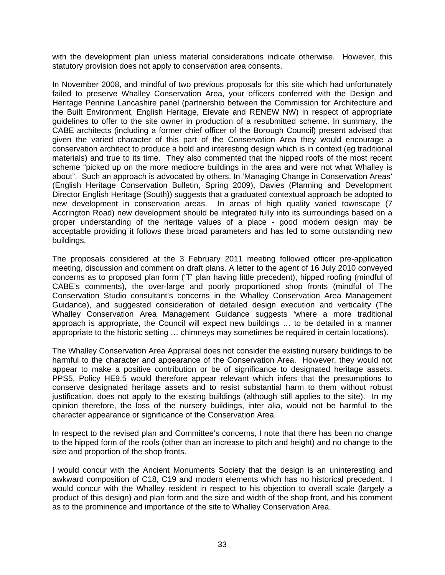with the development plan unless material considerations indicate otherwise. However, this statutory provision does not apply to conservation area consents.

In November 2008, and mindful of two previous proposals for this site which had unfortunately failed to preserve Whalley Conservation Area, your officers conferred with the Design and Heritage Pennine Lancashire panel (partnership between the Commission for Architecture and the Built Environment, English Heritage, Elevate and RENEW NW) in respect of appropriate guidelines to offer to the site owner in production of a resubmitted scheme. In summary, the CABE architects (including a former chief officer of the Borough Council) present advised that given the varied character of this part of the Conservation Area they would encourage a conservation architect to produce a bold and interesting design which is in context (eg traditional materials) and true to its time. They also commented that the hipped roofs of the most recent scheme "picked up on the more mediocre buildings in the area and were not what Whalley is about". Such an approach is advocated by others. In 'Managing Change in Conservation Areas' (English Heritage Conservation Bulletin, Spring 2009), Davies (Planning and Development Director English Heritage (South)) suggests that a graduated contextual approach be adopted to new development in conservation areas. In areas of high quality varied townscape (7 Accrington Road) new development should be integrated fully into its surroundings based on a proper understanding of the heritage values of a place - good modern design may be acceptable providing it follows these broad parameters and has led to some outstanding new buildings.

The proposals considered at the 3 February 2011 meeting followed officer pre-application meeting, discussion and comment on draft plans. A letter to the agent of 16 July 2010 conveyed concerns as to proposed plan form ('T' plan having little precedent), hipped roofing (mindful of CABE's comments), the over-large and poorly proportioned shop fronts (mindful of The Conservation Studio consultant's concerns in the Whalley Conservation Area Management Guidance), and suggested consideration of detailed design execution and verticality (The Whalley Conservation Area Management Guidance suggests 'where a more traditional approach is appropriate, the Council will expect new buildings … to be detailed in a manner appropriate to the historic setting … chimneys may sometimes be required in certain locations).

The Whalley Conservation Area Appraisal does not consider the existing nursery buildings to be harmful to the character and appearance of the Conservation Area. However, they would not appear to make a positive contribution or be of significance to designated heritage assets. PPS5, Policy HE9.5 would therefore appear relevant which infers that the presumptions to conserve designated heritage assets and to resist substantial harm to them without robust justification, does not apply to the existing buildings (although still applies to the site). In my opinion therefore, the loss of the nursery buildings, inter alia, would not be harmful to the character appearance or significance of the Conservation Area.

In respect to the revised plan and Committee's concerns, I note that there has been no change to the hipped form of the roofs (other than an increase to pitch and height) and no change to the size and proportion of the shop fronts.

I would concur with the Ancient Monuments Society that the design is an uninteresting and awkward composition of C18, C19 and modern elements which has no historical precedent. I would concur with the Whalley resident in respect to his objection to overall scale (largely a product of this design) and plan form and the size and width of the shop front, and his comment as to the prominence and importance of the site to Whalley Conservation Area.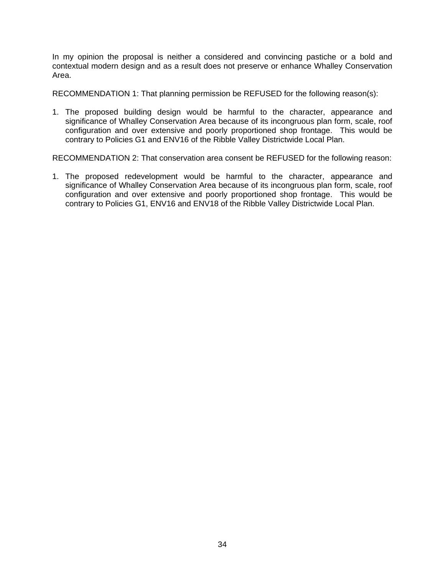In my opinion the proposal is neither a considered and convincing pastiche or a bold and contextual modern design and as a result does not preserve or enhance Whalley Conservation Area.

RECOMMENDATION 1: That planning permission be REFUSED for the following reason(s):

1. The proposed building design would be harmful to the character, appearance and significance of Whalley Conservation Area because of its incongruous plan form, scale, roof configuration and over extensive and poorly proportioned shop frontage. This would be contrary to Policies G1 and ENV16 of the Ribble Valley Districtwide Local Plan.

RECOMMENDATION 2: That conservation area consent be REFUSED for the following reason:

1. The proposed redevelopment would be harmful to the character, appearance and significance of Whalley Conservation Area because of its incongruous plan form, scale, roof configuration and over extensive and poorly proportioned shop frontage. This would be contrary to Policies G1, ENV16 and ENV18 of the Ribble Valley Districtwide Local Plan.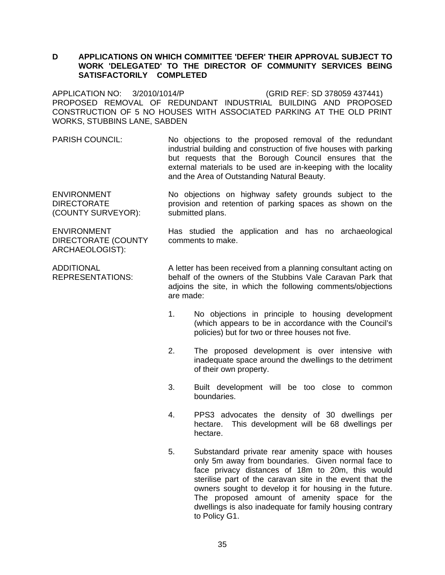#### **D APPLICATIONS ON WHICH COMMITTEE 'DEFER' THEIR APPROVAL SUBJECT TO WORK 'DELEGATED' TO THE DIRECTOR OF COMMUNITY SERVICES BEING SATISFACTORILY COMPLETED**

APPLICATION NO: 3/2010/1014/P (GRID REF: SD 378059 437441) PROPOSED REMOVAL OF REDUNDANT INDUSTRIAL BUILDING AND PROPOSED CONSTRUCTION OF 5 NO HOUSES WITH ASSOCIATED PARKING AT THE OLD PRINT WORKS, STUBBINS LANE, SABDEN

PARISH COUNCIL: No objections to the proposed removal of the redundant industrial building and construction of five houses with parking but requests that the Borough Council ensures that the external materials to be used are in-keeping with the locality and the Area of Outstanding Natural Beauty.

ENVIRONMENT DIRECTORATE (COUNTY SURVEYOR): No objections on highway safety grounds subject to the provision and retention of parking spaces as shown on the submitted plans.

ENVIRONMENT DIRECTORATE (COUNTY ARCHAEOLOGIST):

Has studied the application and has no archaeological comments to make.

ADDITIONAL REPRESENTATIONS: A letter has been received from a planning consultant acting on behalf of the owners of the Stubbins Vale Caravan Park that adjoins the site, in which the following comments/objections are made:

- 1. No objections in principle to housing development (which appears to be in accordance with the Council's policies) but for two or three houses not five.
- 2. The proposed development is over intensive with inadequate space around the dwellings to the detriment of their own property.
- 3. Built development will be too close to common boundaries.
- 4. PPS3 advocates the density of 30 dwellings per hectare. This development will be 68 dwellings per hectare.
- 5. Substandard private rear amenity space with houses only 5m away from boundaries. Given normal face to face privacy distances of 18m to 20m, this would sterilise part of the caravan site in the event that the owners sought to develop it for housing in the future. The proposed amount of amenity space for the dwellings is also inadequate for family housing contrary to Policy G1.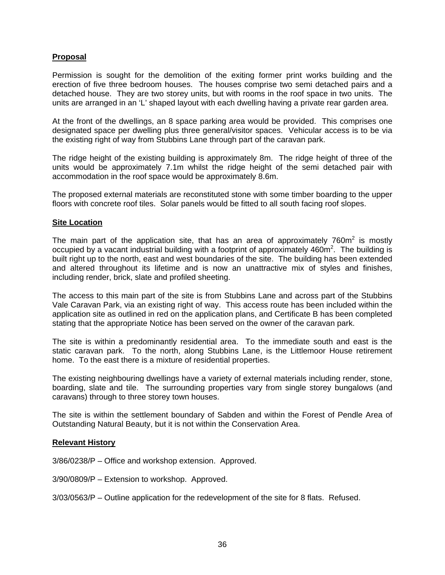## **Proposal**

Permission is sought for the demolition of the exiting former print works building and the erection of five three bedroom houses. The houses comprise two semi detached pairs and a detached house. They are two storey units, but with rooms in the roof space in two units. The units are arranged in an 'L' shaped layout with each dwelling having a private rear garden area.

At the front of the dwellings, an 8 space parking area would be provided. This comprises one designated space per dwelling plus three general/visitor spaces. Vehicular access is to be via the existing right of way from Stubbins Lane through part of the caravan park.

The ridge height of the existing building is approximately 8m. The ridge height of three of the units would be approximately 7.1m whilst the ridge height of the semi detached pair with accommodation in the roof space would be approximately 8.6m.

The proposed external materials are reconstituted stone with some timber boarding to the upper floors with concrete roof tiles. Solar panels would be fitted to all south facing roof slopes.

#### **Site Location**

The main part of the application site, that has an area of approximately 760 $m<sup>2</sup>$  is mostly occupied by a vacant industrial building with a footprint of approximately 460m<sup>2</sup>. The building is built right up to the north, east and west boundaries of the site. The building has been extended and altered throughout its lifetime and is now an unattractive mix of styles and finishes, including render, brick, slate and profiled sheeting.

The access to this main part of the site is from Stubbins Lane and across part of the Stubbins Vale Caravan Park, via an existing right of way. This access route has been included within the application site as outlined in red on the application plans, and Certificate B has been completed stating that the appropriate Notice has been served on the owner of the caravan park.

The site is within a predominantly residential area. To the immediate south and east is the static caravan park. To the north, along Stubbins Lane, is the Littlemoor House retirement home. To the east there is a mixture of residential properties.

The existing neighbouring dwellings have a variety of external materials including render, stone, boarding, slate and tile. The surrounding properties vary from single storey bungalows (and caravans) through to three storey town houses.

The site is within the settlement boundary of Sabden and within the Forest of Pendle Area of Outstanding Natural Beauty, but it is not within the Conservation Area.

#### **Relevant History**

3/86/0238/P – Office and workshop extension. Approved.

3/90/0809/P – Extension to workshop. Approved.

3/03/0563/P – Outline application for the redevelopment of the site for 8 flats. Refused.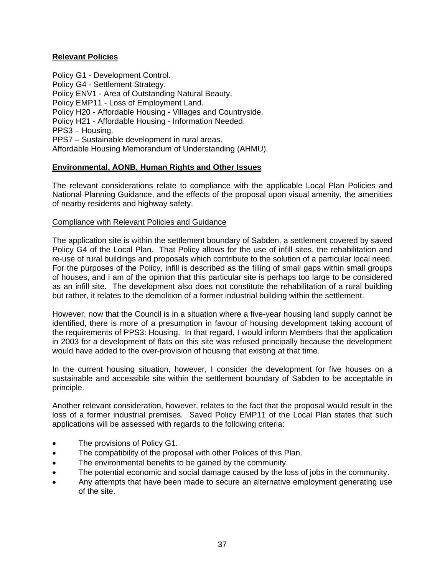## **Relevant Policies**

Policy G1 - Development Control. Policy G4 - Settlement Strategy. Policy ENV1 - Area of Outstanding Natural Beauty. Policy EMP11 - Loss of Employment Land. Policy H20 - Affordable Housing - Villages and Countryside. Policy H21 - Affordable Housing - Information Needed. PPS3 – Housing. PPS7 – Sustainable development in rural areas. Affordable Housing Memorandum of Understanding (AHMU).

## **Environmental, AONB, Human Rights and Other Issues**

The relevant considerations relate to compliance with the applicable Local Plan Policies and National Planning Guidance, and the effects of the proposal upon visual amenity, the amenities of nearby residents and highway safety.

## Compliance with Relevant Policies and Guidance

The application site is within the settlement boundary of Sabden, a settlement covered by saved Policy G4 of the Local Plan. That Policy allows for the use of infill sites, the rehabilitation and re-use of rural buildings and proposals which contribute to the solution of a particular local need. For the purposes of the Policy, infill is described as the filling of small gaps within small groups of houses, and I am of the opinion that this particular site is perhaps too large to be considered as an infill site. The development also does not constitute the rehabilitation of a rural building but rather, it relates to the demolition of a former industrial building within the settlement.

However, now that the Council is in a situation where a five-year housing land supply cannot be identified, there is more of a presumption in favour of housing development taking account of the requirements of PPS3: Housing. In that regard, I would inform Members that the application in 2003 for a development of flats on this site was refused principally because the development would have added to the over-provision of housing that existing at that time.

In the current housing situation, however, I consider the development for five houses on a sustainable and accessible site within the settlement boundary of Sabden to be acceptable in principle.

Another relevant consideration, however, relates to the fact that the proposal would result in the loss of a former industrial premises. Saved Policy EMP11 of the Local Plan states that such applications will be assessed with regards to the following criteria:

- The provisions of Policy G1.
- The compatibility of the proposal with other Polices of this Plan.
- The environmental benefits to be gained by the community.
- The potential economic and social damage caused by the loss of jobs in the community.
- Any attempts that have been made to secure an alternative employment generating use of the site.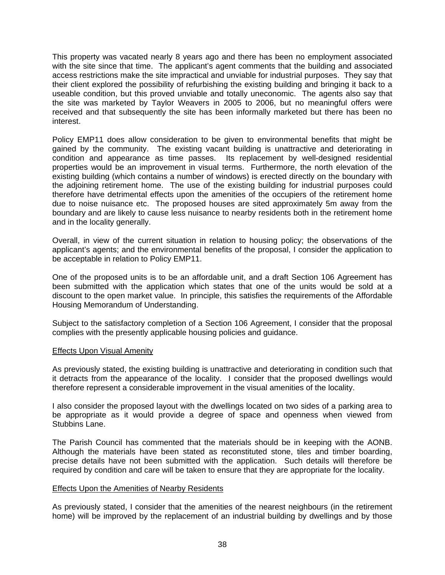This property was vacated nearly 8 years ago and there has been no employment associated with the site since that time. The applicant's agent comments that the building and associated access restrictions make the site impractical and unviable for industrial purposes. They say that their client explored the possibility of refurbishing the existing building and bringing it back to a useable condition, but this proved unviable and totally uneconomic. The agents also say that the site was marketed by Taylor Weavers in 2005 to 2006, but no meaningful offers were received and that subsequently the site has been informally marketed but there has been no interest.

Policy EMP11 does allow consideration to be given to environmental benefits that might be gained by the community. The existing vacant building is unattractive and deteriorating in condition and appearance as time passes. Its replacement by well-designed residential properties would be an improvement in visual terms. Furthermore, the north elevation of the existing building (which contains a number of windows) is erected directly on the boundary with the adjoining retirement home. The use of the existing building for industrial purposes could therefore have detrimental effects upon the amenities of the occupiers of the retirement home due to noise nuisance etc. The proposed houses are sited approximately 5m away from the boundary and are likely to cause less nuisance to nearby residents both in the retirement home and in the locality generally.

Overall, in view of the current situation in relation to housing policy; the observations of the applicant's agents; and the environmental benefits of the proposal, I consider the application to be acceptable in relation to Policy EMP11.

One of the proposed units is to be an affordable unit, and a draft Section 106 Agreement has been submitted with the application which states that one of the units would be sold at a discount to the open market value. In principle, this satisfies the requirements of the Affordable Housing Memorandum of Understanding.

Subject to the satisfactory completion of a Section 106 Agreement, I consider that the proposal complies with the presently applicable housing policies and guidance.

#### Effects Upon Visual Amenity

As previously stated, the existing building is unattractive and deteriorating in condition such that it detracts from the appearance of the locality. I consider that the proposed dwellings would therefore represent a considerable improvement in the visual amenities of the locality.

I also consider the proposed layout with the dwellings located on two sides of a parking area to be appropriate as it would provide a degree of space and openness when viewed from Stubbins Lane.

The Parish Council has commented that the materials should be in keeping with the AONB. Although the materials have been stated as reconstituted stone, tiles and timber boarding, precise details have not been submitted with the application. Such details will therefore be required by condition and care will be taken to ensure that they are appropriate for the locality.

#### Effects Upon the Amenities of Nearby Residents

As previously stated, I consider that the amenities of the nearest neighbours (in the retirement home) will be improved by the replacement of an industrial building by dwellings and by those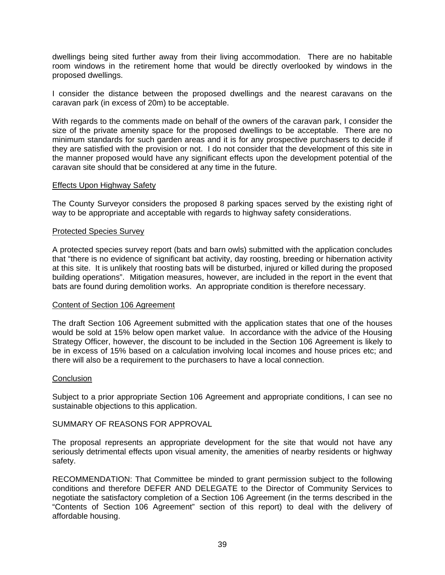dwellings being sited further away from their living accommodation. There are no habitable room windows in the retirement home that would be directly overlooked by windows in the proposed dwellings.

I consider the distance between the proposed dwellings and the nearest caravans on the caravan park (in excess of 20m) to be acceptable.

With regards to the comments made on behalf of the owners of the caravan park, I consider the size of the private amenity space for the proposed dwellings to be acceptable. There are no minimum standards for such garden areas and it is for any prospective purchasers to decide if they are satisfied with the provision or not. I do not consider that the development of this site in the manner proposed would have any significant effects upon the development potential of the caravan site should that be considered at any time in the future.

#### Effects Upon Highway Safety

The County Surveyor considers the proposed 8 parking spaces served by the existing right of way to be appropriate and acceptable with regards to highway safety considerations.

#### Protected Species Survey

A protected species survey report (bats and barn owls) submitted with the application concludes that "there is no evidence of significant bat activity, day roosting, breeding or hibernation activity at this site. It is unlikely that roosting bats will be disturbed, injured or killed during the proposed building operations". Mitigation measures, however, are included in the report in the event that bats are found during demolition works. An appropriate condition is therefore necessary.

#### Content of Section 106 Agreement

The draft Section 106 Agreement submitted with the application states that one of the houses would be sold at 15% below open market value. In accordance with the advice of the Housing Strategy Officer, however, the discount to be included in the Section 106 Agreement is likely to be in excess of 15% based on a calculation involving local incomes and house prices etc; and there will also be a requirement to the purchasers to have a local connection.

#### **Conclusion**

Subject to a prior appropriate Section 106 Agreement and appropriate conditions, I can see no sustainable objections to this application.

#### SUMMARY OF REASONS FOR APPROVAL

The proposal represents an appropriate development for the site that would not have any seriously detrimental effects upon visual amenity, the amenities of nearby residents or highway safety.

RECOMMENDATION: That Committee be minded to grant permission subject to the following conditions and therefore DEFER AND DELEGATE to the Director of Community Services to negotiate the satisfactory completion of a Section 106 Agreement (in the terms described in the "Contents of Section 106 Agreement" section of this report) to deal with the delivery of affordable housing.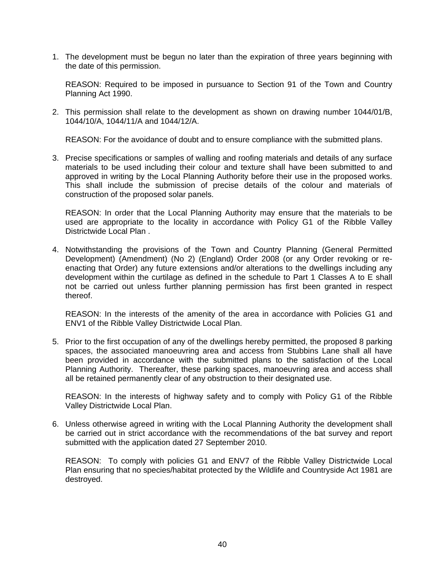1. The development must be begun no later than the expiration of three years beginning with the date of this permission.

 REASON: Required to be imposed in pursuance to Section 91 of the Town and Country Planning Act 1990.

2. This permission shall relate to the development as shown on drawing number 1044/01/B, 1044/10/A, 1044/11/A and 1044/12/A.

REASON: For the avoidance of doubt and to ensure compliance with the submitted plans.

3. Precise specifications or samples of walling and roofing materials and details of any surface materials to be used including their colour and texture shall have been submitted to and approved in writing by the Local Planning Authority before their use in the proposed works. This shall include the submission of precise details of the colour and materials of construction of the proposed solar panels.

 REASON: In order that the Local Planning Authority may ensure that the materials to be used are appropriate to the locality in accordance with Policy G1 of the Ribble Valley Districtwide Local Plan .

4. Notwithstanding the provisions of the Town and Country Planning (General Permitted Development) (Amendment) (No 2) (England) Order 2008 (or any Order revoking or reenacting that Order) any future extensions and/or alterations to the dwellings including any development within the curtilage as defined in the schedule to Part 1 Classes A to E shall not be carried out unless further planning permission has first been granted in respect thereof.

 REASON: In the interests of the amenity of the area in accordance with Policies G1 and ENV1 of the Ribble Valley Districtwide Local Plan.

5. Prior to the first occupation of any of the dwellings hereby permitted, the proposed 8 parking spaces, the associated manoeuvring area and access from Stubbins Lane shall all have been provided in accordance with the submitted plans to the satisfaction of the Local Planning Authority. Thereafter, these parking spaces, manoeuvring area and access shall all be retained permanently clear of any obstruction to their designated use.

 REASON: In the interests of highway safety and to comply with Policy G1 of the Ribble Valley Districtwide Local Plan.

6. Unless otherwise agreed in writing with the Local Planning Authority the development shall be carried out in strict accordance with the recommendations of the bat survey and report submitted with the application dated 27 September 2010.

 REASON: To comply with policies G1 and ENV7 of the Ribble Valley Districtwide Local Plan ensuring that no species/habitat protected by the Wildlife and Countryside Act 1981 are destroyed.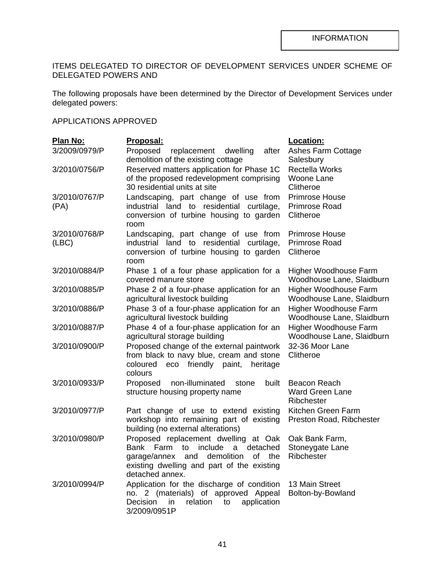## ITEMS DELEGATED TO DIRECTOR OF DEVELOPMENT SERVICES UNDER SCHEME OF DELEGATED POWERS AND

The following proposals have been determined by the Director of Development Services under delegated powers:

## APPLICATIONS APPROVED

| Plan No:      | Proposal:                                                                             | Location:                                    |
|---------------|---------------------------------------------------------------------------------------|----------------------------------------------|
| 3/2009/0979/P | Proposed<br>replacement dwelling<br>after                                             | Ashes Farm Cottage                           |
|               | demolition of the existing cottage                                                    | Salesbury                                    |
| 3/2010/0756/P | Reserved matters application for Phase 1C                                             | <b>Rectella Works</b>                        |
|               | of the proposed redevelopment comprising                                              | <b>Woone Lane</b>                            |
|               | 30 residential units at site                                                          | Clitheroe                                    |
| 3/2010/0767/P | Landscaping, part change of use from                                                  | <b>Primrose House</b>                        |
| (PA)          | industrial land to residential curtilage,                                             | Primrose Road                                |
|               | conversion of turbine housing to garden                                               | Clitheroe                                    |
|               | room                                                                                  |                                              |
| 3/2010/0768/P | Landscaping, part change of use from                                                  | <b>Primrose House</b>                        |
| (ABC)         | industrial land to residential curtilage,                                             | Primrose Road                                |
|               | conversion of turbine housing to garden<br>room                                       | Clitheroe                                    |
| 3/2010/0884/P | Phase 1 of a four phase application for a                                             | Higher Woodhouse Farm                        |
|               | covered manure store                                                                  | Woodhouse Lane, Slaidburn                    |
| 3/2010/0885/P | Phase 2 of a four-phase application for an                                            | Higher Woodhouse Farm                        |
|               | agricultural livestock building                                                       | Woodhouse Lane, Slaidburn                    |
| 3/2010/0886/P | Phase 3 of a four-phase application for an                                            | Higher Woodhouse Farm                        |
|               | agricultural livestock building                                                       | Woodhouse Lane, Slaidburn                    |
| 3/2010/0887/P | Phase 4 of a four-phase application for an                                            | Higher Woodhouse Farm                        |
|               | agricultural storage building                                                         | Woodhouse Lane, Slaidburn<br>32-36 Moor Lane |
| 3/2010/0900/P | Proposed change of the external paintwork<br>from black to navy blue, cream and stone | Clitheroe                                    |
|               | coloured eco friendly<br>paint,<br>heritage                                           |                                              |
|               | colours                                                                               |                                              |
| 3/2010/0933/P | non-illuminated<br>Proposed<br>built<br>stone                                         | Beacon Reach                                 |
|               | structure housing property name                                                       | <b>Ward Green Lane</b>                       |
|               |                                                                                       | Ribchester                                   |
| 3/2010/0977/P | Part change of use to extend existing                                                 | Kitchen Green Farm                           |
|               | workshop into remaining part of existing                                              | Preston Road, Ribchester                     |
|               | building (no external alterations)                                                    |                                              |
| 3/2010/0980/P | Proposed replacement dwelling at Oak                                                  | Oak Bank Farm,                               |
|               | Bank<br>Farm<br>to<br>include<br>detached<br>a -                                      | Stoneygate Lane                              |
|               | and<br>demolition<br>garage/annex<br>of<br>the                                        | Ribchester                                   |
|               | existing dwelling and part of the existing                                            |                                              |
|               | detached annex.                                                                       |                                              |
| 3/2010/0994/P | Application for the discharge of condition<br>no. 2 (materials) of approved Appeal    | 13 Main Street<br>Bolton-by-Bowland          |
|               | relation<br>Decision<br>application<br>in<br>to                                       |                                              |
|               | 3/2009/0951P                                                                          |                                              |
|               |                                                                                       |                                              |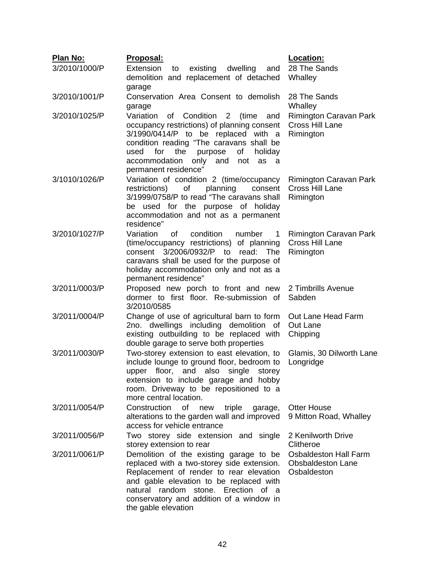| <b>Plan No:</b> | Proposal:                                                                                                                                                                                                                                                                                             | Location:                                                               |
|-----------------|-------------------------------------------------------------------------------------------------------------------------------------------------------------------------------------------------------------------------------------------------------------------------------------------------------|-------------------------------------------------------------------------|
| 3/2010/1000/P   | Extension<br>dwelling<br>existing<br>to<br>and<br>demolition and replacement of detached<br>garage                                                                                                                                                                                                    | 28 The Sands<br>Whalley                                                 |
| 3/2010/1001/P   | Conservation Area Consent to demolish<br>garage                                                                                                                                                                                                                                                       | 28 The Sands<br>Whalley                                                 |
| 3/2010/1025/P   | of Condition 2<br>Variation<br>(time<br>and<br>occupancy restrictions) of planning consent<br>3/1990/0414/P to be replaced with a<br>condition reading "The caravans shall be<br>used<br>for<br>the<br>purpose<br>of<br>holiday<br>accommodation<br>only and not<br>as<br>- a<br>permanent residence" | Rimington Caravan Park<br>Cross Hill Lane<br>Rimington                  |
| 3/1010/1026/P   | Variation of condition 2 (time/occupancy<br>of<br>planning<br>restrictions)<br>consent<br>3/1999/0758/P to read "The caravans shall<br>be used for the purpose of holiday<br>accommodation and not as a permanent<br>residence"                                                                       | Rimington Caravan Park<br>Cross Hill Lane<br>Rimington                  |
| 3/2010/1027/P   | condition<br>Variation<br>0f<br>number<br>1<br>(time/occupancy restrictions) of planning<br>consent 3/2006/0932/P to read:<br>The<br>caravans shall be used for the purpose of<br>holiday accommodation only and not as a<br>permanent residence"                                                     | Rimington Caravan Park<br>Cross Hill Lane<br>Rimington                  |
| 3/2011/0003/P   | Proposed new porch to front and new 2 Timbrills Avenue<br>dormer to first floor. Re-submission of<br>3/2010/0585                                                                                                                                                                                      | Sabden                                                                  |
| 3/2011/0004/P   | Change of use of agricultural barn to form<br>2no. dwellings including demolition of<br>existing outbuilding to be replaced with<br>double garage to serve both properties                                                                                                                            | Out Lane Head Farm<br>Out Lane<br>Chipping                              |
| 3/2011/0030/P   | Two-storey extension to east elevation, to<br>include lounge to ground floor, bedroom to<br>upper floor, and also single storey<br>extension to include garage and hobby<br>room. Driveway to be repositioned to a<br>more central location.                                                          | Glamis, 30 Dilworth Lane<br>Longridge                                   |
| 3/2011/0054/P   | Construction<br>of<br>triple<br>new<br>garage,<br>alterations to the garden wall and improved<br>access for vehicle entrance                                                                                                                                                                          | <b>Otter House</b><br>9 Mitton Road, Whalley                            |
| 3/2011/0056/P   | Two storey side extension and single<br>storey extension to rear                                                                                                                                                                                                                                      | 2 Kenilworth Drive<br>Clitheroe                                         |
| 3/2011/0061/P   | Demolition of the existing garage to be<br>replaced with a two-storey side extension.<br>Replacement of render to rear elevation<br>and gable elevation to be replaced with<br>natural random stone. Erection of a<br>conservatory and addition of a window in<br>the gable elevation                 | <b>Osbaldeston Hall Farm</b><br><b>Obsbaldeston Lane</b><br>Osbaldeston |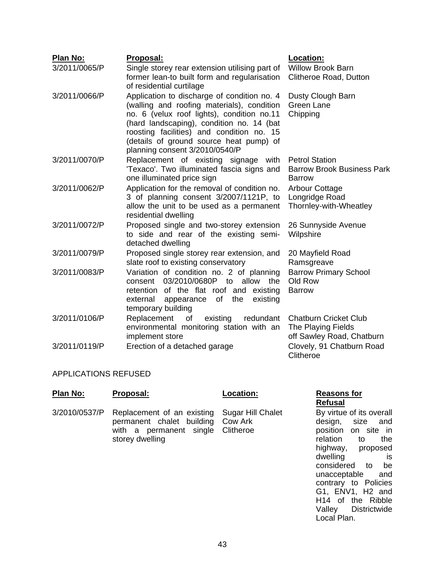| Plan No:      | Proposal:                                                                                                                                                                                                                                                                                                      | Location:                                                                       |
|---------------|----------------------------------------------------------------------------------------------------------------------------------------------------------------------------------------------------------------------------------------------------------------------------------------------------------------|---------------------------------------------------------------------------------|
| 3/2011/0065/P | Single storey rear extension utilising part of<br>former lean-to built form and regularisation<br>of residential curtilage                                                                                                                                                                                     | <b>Willow Brook Barn</b><br>Clitheroe Road, Dutton                              |
| 3/2011/0066/P | Application to discharge of condition no. 4<br>(walling and roofing materials), condition<br>no. 6 (velux roof lights), condition no.11<br>(hard landscaping), condition no. 14 (bat<br>roosting facilities) and condition no. 15<br>(details of ground source heat pump) of<br>planning consent 3/2010/0540/P | Dusty Clough Barn<br><b>Green Lane</b><br>Chipping                              |
| 3/2011/0070/P | Replacement of existing signage with<br>'Texaco'. Two illuminated fascia signs and<br>one illuminated price sign                                                                                                                                                                                               | <b>Petrol Station</b><br><b>Barrow Brook Business Park</b><br><b>Barrow</b>     |
| 3/2011/0062/P | Application for the removal of condition no.<br>3 of planning consent 3/2007/1121P, to<br>allow the unit to be used as a permanent<br>residential dwelling                                                                                                                                                     | Arbour Cottage<br>Longridge Road<br>Thornley-with-Wheatley                      |
| 3/2011/0072/P | Proposed single and two-storey extension<br>to side and rear of the existing semi-<br>detached dwelling                                                                                                                                                                                                        | 26 Sunnyside Avenue<br>Wilpshire                                                |
| 3/2011/0079/P | Proposed single storey rear extension, and<br>slate roof to existing conservatory                                                                                                                                                                                                                              | 20 Mayfield Road<br>Ramsgreave                                                  |
| 3/2011/0083/P | Variation of condition no. 2 of planning<br>03/2010/0680P to allow<br>the<br>consent<br>retention of the flat roof and existing<br>of<br>the<br>existing<br>external<br>appearance<br>temporary building                                                                                                       | <b>Barrow Primary School</b><br>Old Row<br><b>Barrow</b>                        |
| 3/2011/0106/P | Replacement<br>of<br>existing<br>redundant<br>environmental monitoring station with an<br>implement store                                                                                                                                                                                                      | <b>Chatburn Cricket Club</b><br>The Playing Fields<br>off Sawley Road, Chatburn |
| 3/2011/0119/P | Erection of a detached garage                                                                                                                                                                                                                                                                                  | Clovely, 91 Chatburn Road<br>Clitheroe                                          |

#### APPLICATIONS REFUSED

| Plan No: | Proposal:                                                                                                                                               | Location: | <b>Reasons for</b><br>Refusal                                     |
|----------|---------------------------------------------------------------------------------------------------------------------------------------------------------|-----------|-------------------------------------------------------------------|
|          | 3/2010/0537/P Replacement of an existing Sugar Hill Chalet<br>permanent chalet building Cow Ark<br>with a permanent single Clitheroe<br>storey dwelling |           | By virtue of its<br>design, size<br>position on<br>relation<br>to |

# **Refusal**

By virtue of its overall design, size and position on site in relation to the highway, proposed<br>dwelling is dwelling is<br>considered to be considered to unacceptable and contrary to Policies G1, ENV1, H2 and H<sub>14</sub> of the Ribble<br>Valley Districtwide Districtwide Local Plan.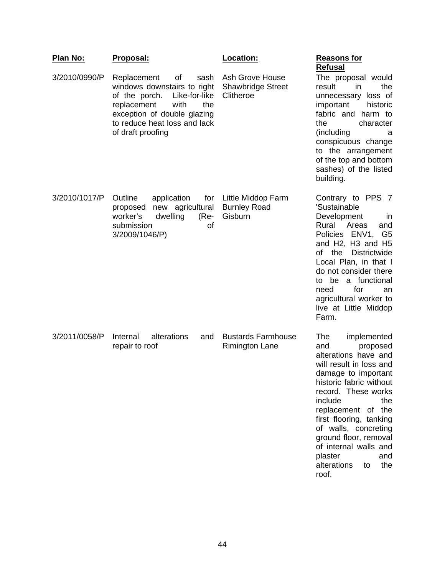| <u>Plan No:</u> | Proposal:                                                                                                                                                                                                    | Location:                                                | <b>Reasons for</b><br><b>Refusal</b>                                                                                                                                                                                                                                                                                                                                  |
|-----------------|--------------------------------------------------------------------------------------------------------------------------------------------------------------------------------------------------------------|----------------------------------------------------------|-----------------------------------------------------------------------------------------------------------------------------------------------------------------------------------------------------------------------------------------------------------------------------------------------------------------------------------------------------------------------|
| 3/2010/0990/P   | Replacement<br>οf<br>sash<br>windows downstairs to right<br>Like-for-like<br>of the porch.<br>replacement<br>with<br>the<br>exception of double glazing<br>to reduce heat loss and lack<br>of draft proofing | Ash Grove House<br><b>Shawbridge Street</b><br>Clitheroe | The proposal would<br>result<br>the<br>in<br>unnecessary loss of<br>important<br>historic<br>fabric and harm to<br>the<br>character<br>(including<br>а<br>conspicuous change<br>to the arrangement<br>of the top and bottom<br>sashes) of the listed<br>building.                                                                                                     |
| 3/2010/1017/P   | Outline<br>application<br>for<br>new agricultural<br>proposed<br>worker's<br>dwelling<br>$(Re-$<br>submission<br>οf<br>3/2009/1046/P)                                                                        | Little Middop Farm<br><b>Burnley Road</b><br>Gisburn     | Contrary to PPS 7<br>'Sustainable<br>Development<br>$\mathsf{I}$<br>Rural<br>Areas<br>and<br>Policies ENV1,<br>G <sub>5</sub><br>and H2, H3 and H5<br>of<br>the Districtwide<br>Local Plan, in that I<br>do not consider there<br>be a functional<br>to<br>for<br>need<br>an<br>agricultural worker to<br>live at Little Middop<br>Farm.                              |
| 3/2011/0058/P   | Internal<br>alterations<br>and<br>repair to roof                                                                                                                                                             | <b>Bustards Farmhouse</b><br><b>Rimington Lane</b>       | The<br>implemented<br>and<br>proposed<br>alterations have and<br>will result in loss and<br>damage to important<br>historic fabric without<br>record. These works<br>include<br>the<br>replacement of the<br>first flooring, tanking<br>of walls, concreting<br>ground floor, removal<br>of internal walls and<br>plaster<br>and<br>alterations<br>the<br>to<br>roof. |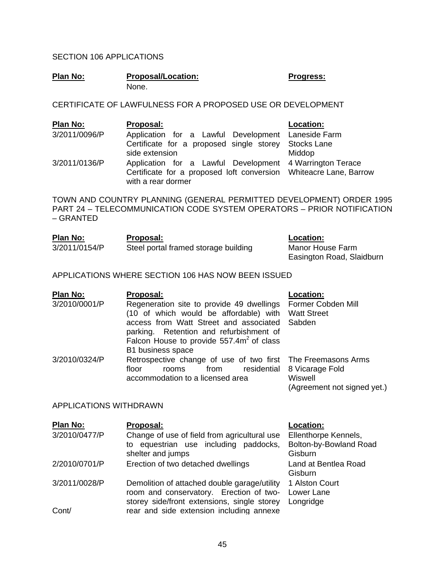## SECTION 106 APPLICATIONS

| Plan No: | <b>Proposal/Location:</b> | <b>Progress:</b> |
|----------|---------------------------|------------------|
|          | None.                     |                  |

CERTIFICATE OF LAWFULNESS FOR A PROPOSED USE OR DEVELOPMENT

| Plan No:      | Proposal:                                                                                                                                           | Location: |
|---------------|-----------------------------------------------------------------------------------------------------------------------------------------------------|-----------|
| 3/2011/0096/P | Application for a Lawful Development Laneside Farm                                                                                                  |           |
|               | Certificate for a proposed single storey Stocks Lane                                                                                                |           |
|               | side extension                                                                                                                                      | Middop    |
| 3/2011/0136/P | Application for a Lawful Development 4 Warrington Terace<br>Certificate for a proposed loft conversion Whiteacre Lane, Barrow<br>with a rear dormer |           |

TOWN AND COUNTRY PLANNING (GENERAL PERMITTED DEVELOPMENT) ORDER 1995 PART 24 – TELECOMMUNICATION CODE SYSTEM OPERATORS – PRIOR NOTIFICATION – GRANTED

| Plan No:      | Proposal:                            | Location:                 |
|---------------|--------------------------------------|---------------------------|
| 3/2011/0154/P | Steel portal framed storage building | Manor House Farm          |
|               |                                      | Easington Road, Slaidburn |

#### APPLICATIONS WHERE SECTION 106 HAS NOW BEEN ISSUED

| Plan No:      | Proposal:                                                                                                                                                                                                                                    | Location:                                                 |
|---------------|----------------------------------------------------------------------------------------------------------------------------------------------------------------------------------------------------------------------------------------------|-----------------------------------------------------------|
| 3/2010/0001/P | Regeneration site to provide 49 dwellings<br>(10 of which would be affordable) with<br>access from Watt Street and associated<br>parking. Retention and refurbishment of<br>Falcon House to provide $557.4m^2$ of class<br>B1 business space | Former Cobden Mill<br><b>Watt Street</b><br>Sabden        |
| 3/2010/0324/P | Retrospective change of use of two first The Freemasons Arms<br>residential<br>floor<br>from<br>rooms<br>accommodation to a licensed area                                                                                                    | 8 Vicarage Fold<br>Wiswell<br>(Agreement not signed yet.) |

#### APPLICATIONS WITHDRAWN

| Plan No:      | Proposal:                                                                                                                              | Location:                                 |
|---------------|----------------------------------------------------------------------------------------------------------------------------------------|-------------------------------------------|
| 3/2010/0477/P | Change of use of field from agricultural use                                                                                           | Ellenthorpe Kennels,                      |
|               | to equestrian use including paddocks,<br>shelter and jumps                                                                             | Bolton-by-Bowland Road<br>Gisburn         |
| 2/2010/0701/P | Erection of two detached dwellings                                                                                                     | Land at Bentlea Road<br>Gisburn           |
| 3/2011/0028/P | Demolition of attached double garage/utility<br>room and conservatory. Erection of two-<br>storey side/front extensions, single storey | 1 Alston Court<br>Lower Lane<br>Longridge |
| Cont/         | rear and side extension including annexe                                                                                               |                                           |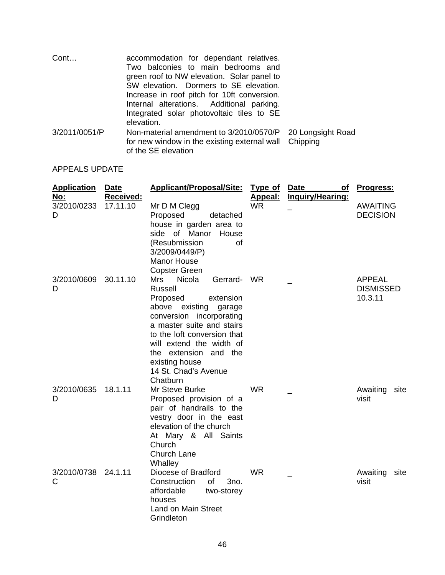| Cont          | accommodation for dependant relatives.<br>Two balconies to main bedrooms and<br>green roof to NW elevation. Solar panel to<br>SW elevation. Dormers to SE elevation.<br>Increase in roof pitch for 10ft conversion.<br>Internal alterations. Additional parking.<br>Integrated solar photovoltaic tiles to SE<br>elevation. |                   |
|---------------|-----------------------------------------------------------------------------------------------------------------------------------------------------------------------------------------------------------------------------------------------------------------------------------------------------------------------------|-------------------|
| 3/2011/0051/P | Non-material amendment to 3/2010/0570/P<br>for new window in the existing external wall Chipping<br>of the SE elevation                                                                                                                                                                                                     | 20 Longsight Road |

# APPEALS UPDATE

| <b>Application</b><br>No: | Date<br><b>Received:</b> | <b>Applicant/Proposal/Site:</b>                                                                                                                                                                                                                                                                 | <b>Type of</b><br>Appeal: | <b>Date</b><br><b>of</b><br>Inquiry/Hearing: | <u>Progress:</u>                             |
|---------------------------|--------------------------|-------------------------------------------------------------------------------------------------------------------------------------------------------------------------------------------------------------------------------------------------------------------------------------------------|---------------------------|----------------------------------------------|----------------------------------------------|
| 3/2010/0233<br>D          | 17.11.10                 | Mr D M Clegg<br>Proposed<br>detached<br>house in garden area to<br>side of Manor<br>House<br>(Resubmission<br><b>of</b><br>3/2009/0449/P)<br><b>Manor House</b><br><b>Copster Green</b>                                                                                                         | <b>WR</b>                 |                                              | <b>AWAITING</b><br><b>DECISION</b>           |
| 3/2010/0609<br>D          | 30.11.10                 | Mrs<br>Nicola<br>Gerrard- WR<br>Russell<br>Proposed<br>extension<br>above existing<br>garage<br>conversion incorporating<br>a master suite and stairs<br>to the loft conversion that<br>will extend the width of<br>the extension and the<br>existing house<br>14 St. Chad's Avenue<br>Chatburn |                           |                                              | <b>APPEAL</b><br><b>DISMISSED</b><br>10.3.11 |
| 3/2010/0635<br>D          | 18.1.11                  | Mr Steve Burke<br>Proposed provision of a<br>pair of handrails to the<br>vestry door in the east<br>elevation of the church<br>At Mary & All Saints<br>Church<br><b>Church Lane</b><br>Whalley                                                                                                  | <b>WR</b>                 |                                              | Awaiting<br>site<br>visit                    |
| 3/2010/0738<br>С          | 24.1.11                  | Diocese of Bradford<br>Construction<br>of<br>3no.<br>affordable<br>two-storey<br>houses<br><b>Land on Main Street</b><br>Grindleton                                                                                                                                                             | <b>WR</b>                 |                                              | Awaiting<br>site<br>visit                    |